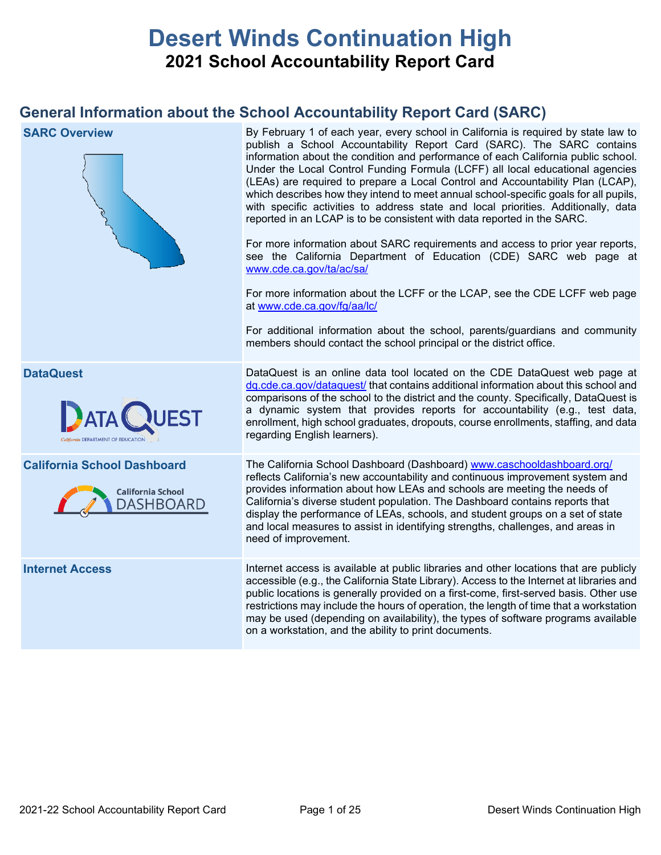# **Desert Winds Continuation High 2021 School Accountability Report Card**

## **General Information about the School Accountability Report Card (SARC)**

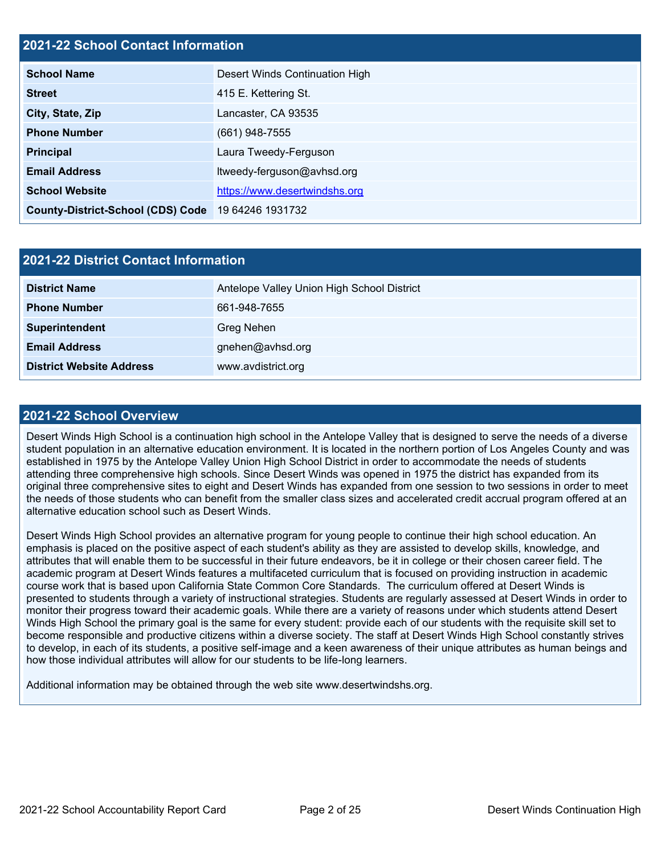## **2021-22 School Contact Information**

| <b>School Name</b>                       | Desert Winds Continuation High |  |  |  |  |
|------------------------------------------|--------------------------------|--|--|--|--|
| <b>Street</b>                            | 415 E. Kettering St.           |  |  |  |  |
| City, State, Zip                         | Lancaster, CA 93535            |  |  |  |  |
| <b>Phone Number</b>                      | $(661)$ 948-7555               |  |  |  |  |
| <b>Principal</b>                         | Laura Tweedy-Ferguson          |  |  |  |  |
| <b>Email Address</b>                     | ltweedy-ferguson@avhsd.org     |  |  |  |  |
| <b>School Website</b>                    | https://www.desertwindshs.org  |  |  |  |  |
| <b>County-District-School (CDS) Code</b> | 19 64246 1931732               |  |  |  |  |

| <b>2021-22 District Contact Information</b> |                                            |  |  |  |
|---------------------------------------------|--------------------------------------------|--|--|--|
| <b>District Name</b>                        | Antelope Valley Union High School District |  |  |  |
| <b>Phone Number</b>                         | 661-948-7655                               |  |  |  |
| Superintendent                              | <b>Greg Nehen</b>                          |  |  |  |
| <b>Email Address</b>                        | gnehen@avhsd.org                           |  |  |  |
| <b>District Website Address</b>             | www.avdistrict.org                         |  |  |  |

#### **2021-22 School Overview**

Desert Winds High School is a continuation high school in the Antelope Valley that is designed to serve the needs of a diverse student population in an alternative education environment. It is located in the northern portion of Los Angeles County and was established in 1975 by the Antelope Valley Union High School District in order to accommodate the needs of students attending three comprehensive high schools. Since Desert Winds was opened in 1975 the district has expanded from its original three comprehensive sites to eight and Desert Winds has expanded from one session to two sessions in order to meet the needs of those students who can benefit from the smaller class sizes and accelerated credit accrual program offered at an alternative education school such as Desert Winds.

Desert Winds High School provides an alternative program for young people to continue their high school education. An emphasis is placed on the positive aspect of each student's ability as they are assisted to develop skills, knowledge, and attributes that will enable them to be successful in their future endeavors, be it in college or their chosen career field. The academic program at Desert Winds features a multifaceted curriculum that is focused on providing instruction in academic course work that is based upon California State Common Core Standards. The curriculum offered at Desert Winds is presented to students through a variety of instructional strategies. Students are regularly assessed at Desert Winds in order to monitor their progress toward their academic goals. While there are a variety of reasons under which students attend Desert Winds High School the primary goal is the same for every student: provide each of our students with the requisite skill set to become responsible and productive citizens within a diverse society. The staff at Desert Winds High School constantly strives to develop, in each of its students, a positive self-image and a keen awareness of their unique attributes as human beings and how those individual attributes will allow for our students to be life-long learners.

Additional information may be obtained through the web site www.desertwindshs.org.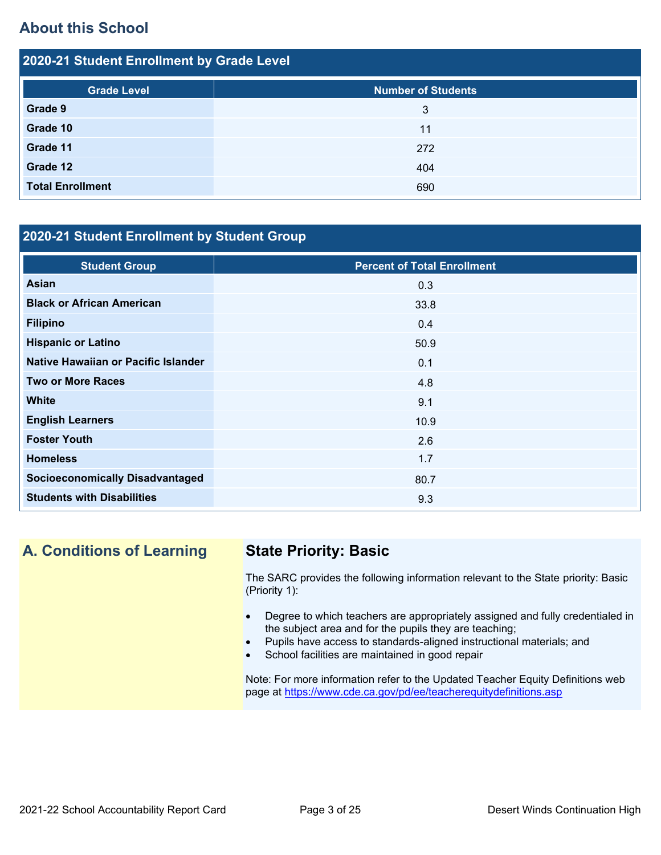## **About this School**

| 2020-21 Student Enrollment by Grade Level |                           |  |  |  |
|-------------------------------------------|---------------------------|--|--|--|
| <b>Grade Level</b>                        | <b>Number of Students</b> |  |  |  |
| Grade 9                                   | 3                         |  |  |  |
| Grade 10                                  | 11                        |  |  |  |
| Grade 11                                  | 272                       |  |  |  |
| Grade 12                                  | 404                       |  |  |  |
| <b>Total Enrollment</b>                   | 690                       |  |  |  |

## **2020-21 Student Enrollment by Student Group**

| <b>Student Group</b>                   | <b>Percent of Total Enrollment</b> |
|----------------------------------------|------------------------------------|
| <b>Asian</b>                           | 0.3                                |
| <b>Black or African American</b>       | 33.8                               |
| <b>Filipino</b>                        | 0.4                                |
| <b>Hispanic or Latino</b>              | 50.9                               |
| Native Hawaiian or Pacific Islander    | 0.1                                |
| <b>Two or More Races</b>               | 4.8                                |
| <b>White</b>                           | 9.1                                |
| <b>English Learners</b>                | 10.9                               |
| <b>Foster Youth</b>                    | 2.6                                |
| <b>Homeless</b>                        | 1.7                                |
| <b>Socioeconomically Disadvantaged</b> | 80.7                               |
| <b>Students with Disabilities</b>      | 9.3                                |

## **A. Conditions of Learning State Priority: Basic**

The SARC provides the following information relevant to the State priority: Basic (Priority 1):

- Degree to which teachers are appropriately assigned and fully credentialed in the subject area and for the pupils they are teaching;
- Pupils have access to standards-aligned instructional materials; and
- School facilities are maintained in good repair

Note: For more information refer to the Updated Teacher Equity Definitions web page at<https://www.cde.ca.gov/pd/ee/teacherequitydefinitions.asp>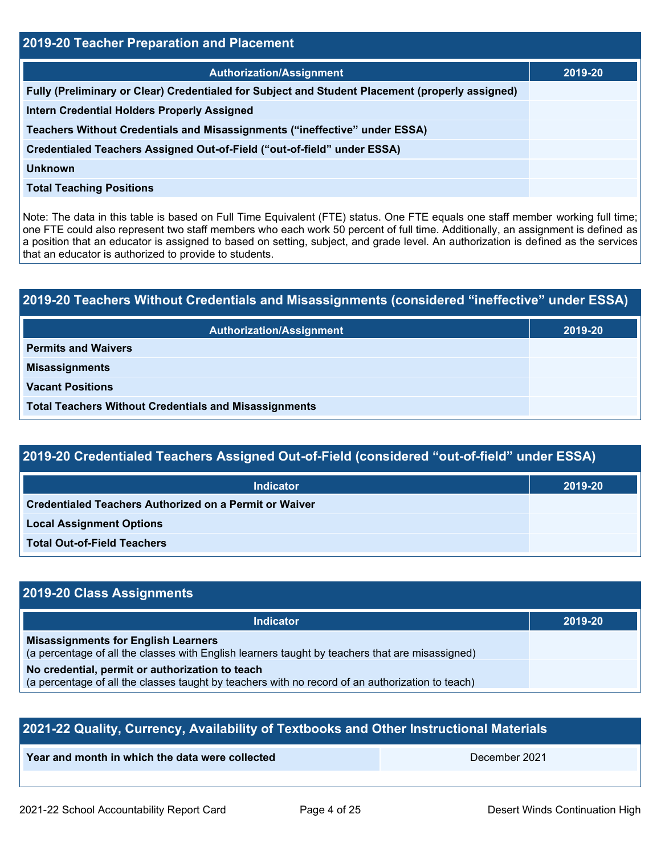| 2019-20 Teacher Preparation and Placement                                                       |         |  |  |
|-------------------------------------------------------------------------------------------------|---------|--|--|
| <b>Authorization/Assignment</b>                                                                 | 2019-20 |  |  |
| Fully (Preliminary or Clear) Credentialed for Subject and Student Placement (properly assigned) |         |  |  |
| <b>Intern Credential Holders Properly Assigned</b>                                              |         |  |  |
| Teachers Without Credentials and Misassignments ("ineffective" under ESSA)                      |         |  |  |
| Credentialed Teachers Assigned Out-of-Field ("out-of-field" under ESSA)                         |         |  |  |
| <b>Unknown</b>                                                                                  |         |  |  |
| <b>Total Teaching Positions</b>                                                                 |         |  |  |
|                                                                                                 |         |  |  |

Note: The data in this table is based on Full Time Equivalent (FTE) status. One FTE equals one staff member working full time; one FTE could also represent two staff members who each work 50 percent of full time. Additionally, an assignment is defined as a position that an educator is assigned to based on setting, subject, and grade level. An authorization is defined as the services that an educator is authorized to provide to students.

# **2019-20 Teachers Without Credentials and Misassignments (considered "ineffective" under ESSA) Authorization/Assignment 2019-20 Permits and Waivers Misassignments Vacant Positions Total Teachers Without Credentials and Misassignments**

| <b>Indicator</b>                                              | 2019-20 |
|---------------------------------------------------------------|---------|
| <b>Credentialed Teachers Authorized on a Permit or Waiver</b> |         |
| <b>Local Assignment Options</b>                               |         |
| <b>Total Out-of-Field Teachers</b>                            |         |

## **2019-20 Class Assignments**

| <b>Indicator</b>                                                                                                                                    | 2019-20 |
|-----------------------------------------------------------------------------------------------------------------------------------------------------|---------|
| <b>Misassignments for English Learners</b><br>(a percentage of all the classes with English learners taught by teachers that are misassigned)       |         |
| No credential, permit or authorization to teach<br>(a percentage of all the classes taught by teachers with no record of an authorization to teach) |         |

| 2021-22 Quality, Currency, Availability of Textbooks and Other Instructional Materials |  |  |  |  |  |
|----------------------------------------------------------------------------------------|--|--|--|--|--|
| Year and month in which the data were collected<br>December 2021                       |  |  |  |  |  |
|                                                                                        |  |  |  |  |  |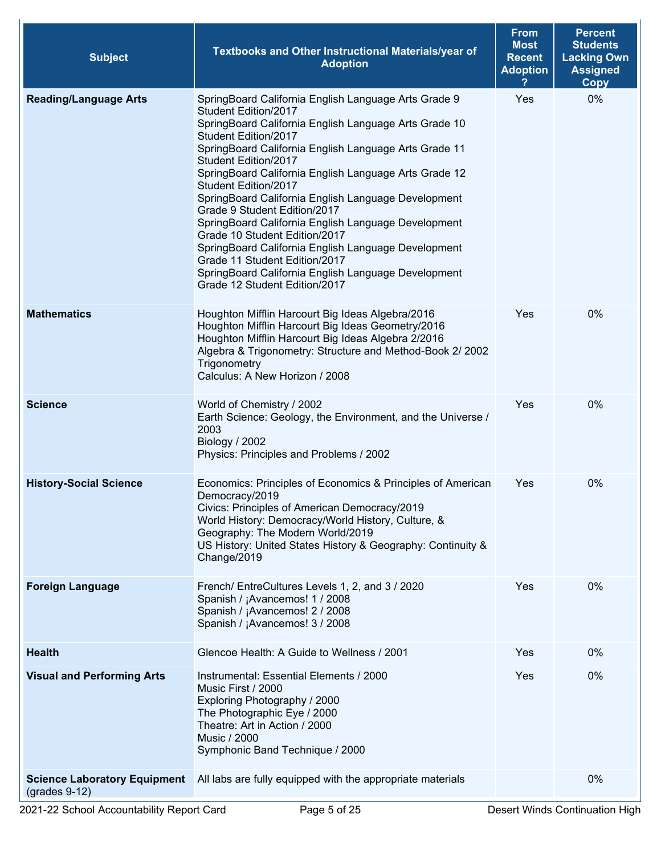| <b>Subject</b>                                         | Textbooks and Other Instructional Materials/year of<br><b>Adoption</b>                                                                                                                                                                                                                                                                                                                                                                                                                                                                                                                                                                                                                         | <b>From</b><br><b>Most</b><br><b>Recent</b><br><b>Adoption</b> | <b>Percent</b><br><b>Students</b><br><b>Lacking Own</b><br><b>Assigned</b><br><b>Copy</b> |
|--------------------------------------------------------|------------------------------------------------------------------------------------------------------------------------------------------------------------------------------------------------------------------------------------------------------------------------------------------------------------------------------------------------------------------------------------------------------------------------------------------------------------------------------------------------------------------------------------------------------------------------------------------------------------------------------------------------------------------------------------------------|----------------------------------------------------------------|-------------------------------------------------------------------------------------------|
| <b>Reading/Language Arts</b>                           | SpringBoard California English Language Arts Grade 9<br>Student Edition/2017<br>SpringBoard California English Language Arts Grade 10<br>Student Edition/2017<br>SpringBoard California English Language Arts Grade 11<br>Student Edition/2017<br>SpringBoard California English Language Arts Grade 12<br>Student Edition/2017<br>SpringBoard California English Language Development<br>Grade 9 Student Edition/2017<br>SpringBoard California English Language Development<br>Grade 10 Student Edition/2017<br>SpringBoard California English Language Development<br>Grade 11 Student Edition/2017<br>SpringBoard California English Language Development<br>Grade 12 Student Edition/2017 | Yes                                                            | 0%                                                                                        |
| <b>Mathematics</b>                                     | Houghton Mifflin Harcourt Big Ideas Algebra/2016<br>Houghton Mifflin Harcourt Big Ideas Geometry/2016<br>Houghton Mifflin Harcourt Big Ideas Algebra 2/2016<br>Algebra & Trigonometry: Structure and Method-Book 2/ 2002<br>Trigonometry<br>Calculus: A New Horizon / 2008                                                                                                                                                                                                                                                                                                                                                                                                                     | Yes                                                            | 0%                                                                                        |
| <b>Science</b>                                         | World of Chemistry / 2002<br>Earth Science: Geology, the Environment, and the Universe /<br>2003<br>Biology / 2002<br>Physics: Principles and Problems / 2002                                                                                                                                                                                                                                                                                                                                                                                                                                                                                                                                  | Yes                                                            | 0%                                                                                        |
| <b>History-Social Science</b>                          | Economics: Principles of Economics & Principles of American<br>Democracy/2019<br>Civics: Principles of American Democracy/2019<br>World History: Democracy/World History, Culture, &<br>Geography: The Modern World/2019<br>US History: United States History & Geography: Continuity &<br>Change/2019                                                                                                                                                                                                                                                                                                                                                                                         | Yes                                                            | 0%                                                                                        |
| <b>Foreign Language</b>                                | French/ EntreCultures Levels 1, 2, and 3 / 2020<br>Spanish / ¡Avancemos! 1 / 2008<br>Spanish / ¡Avancemos! 2 / 2008<br>Spanish / ¡Avancemos! 3 / 2008                                                                                                                                                                                                                                                                                                                                                                                                                                                                                                                                          | Yes                                                            | 0%                                                                                        |
| <b>Health</b>                                          | Glencoe Health: A Guide to Wellness / 2001                                                                                                                                                                                                                                                                                                                                                                                                                                                                                                                                                                                                                                                     | Yes                                                            | 0%                                                                                        |
| <b>Visual and Performing Arts</b>                      | Instrumental: Essential Elements / 2000<br>Music First / 2000<br>Exploring Photography / 2000<br>The Photographic Eye / 2000<br>Theatre: Art in Action / 2000<br><b>Music / 2000</b><br>Symphonic Band Technique / 2000                                                                                                                                                                                                                                                                                                                                                                                                                                                                        | Yes                                                            | 0%                                                                                        |
| <b>Science Laboratory Equipment</b><br>$(grades 9-12)$ | All labs are fully equipped with the appropriate materials                                                                                                                                                                                                                                                                                                                                                                                                                                                                                                                                                                                                                                     |                                                                | 0%                                                                                        |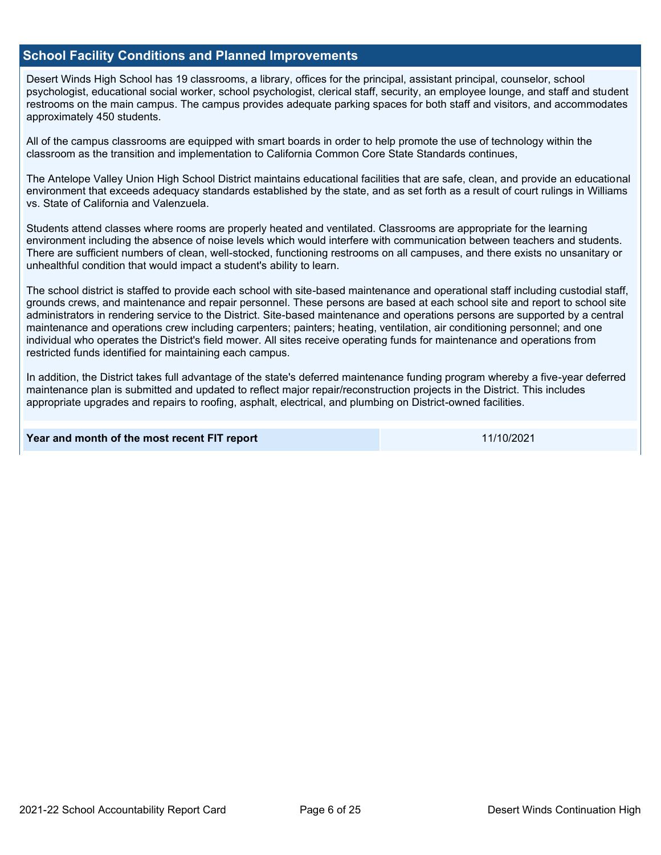### **School Facility Conditions and Planned Improvements**

Desert Winds High School has 19 classrooms, a library, offices for the principal, assistant principal, counselor, school psychologist, educational social worker, school psychologist, clerical staff, security, an employee lounge, and staff and student restrooms on the main campus. The campus provides adequate parking spaces for both staff and visitors, and accommodates approximately 450 students.

All of the campus classrooms are equipped with smart boards in order to help promote the use of technology within the classroom as the transition and implementation to California Common Core State Standards continues,

The Antelope Valley Union High School District maintains educational facilities that are safe, clean, and provide an educational environment that exceeds adequacy standards established by the state, and as set forth as a result of court rulings in Williams vs. State of California and Valenzuela.

Students attend classes where rooms are properly heated and ventilated. Classrooms are appropriate for the learning environment including the absence of noise levels which would interfere with communication between teachers and students. There are sufficient numbers of clean, well-stocked, functioning restrooms on all campuses, and there exists no unsanitary or unhealthful condition that would impact a student's ability to learn.

The school district is staffed to provide each school with site-based maintenance and operational staff including custodial staff, grounds crews, and maintenance and repair personnel. These persons are based at each school site and report to school site administrators in rendering service to the District. Site-based maintenance and operations persons are supported by a central maintenance and operations crew including carpenters; painters; heating, ventilation, air conditioning personnel; and one individual who operates the District's field mower. All sites receive operating funds for maintenance and operations from restricted funds identified for maintaining each campus.

In addition, the District takes full advantage of the state's deferred maintenance funding program whereby a five-year deferred maintenance plan is submitted and updated to reflect major repair/reconstruction projects in the District. This includes appropriate upgrades and repairs to roofing, asphalt, electrical, and plumbing on District-owned facilities.

**Year and month of the most recent FIT report** 11/10/2021 11/10/2021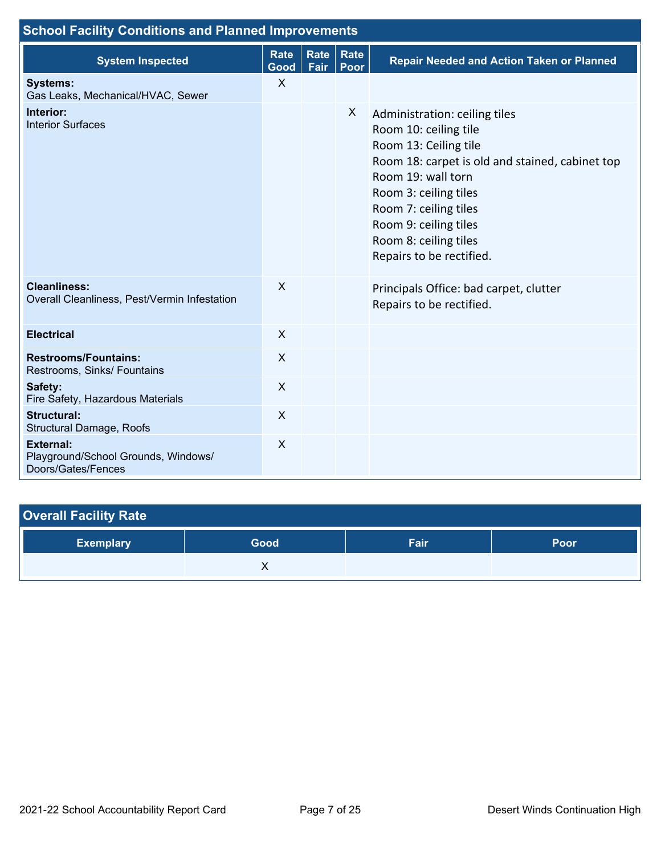| <b>School Facility Conditions and Planned Improvements</b>                    |                     |      |                     |                                                                                                                                                                                                                                                                                          |
|-------------------------------------------------------------------------------|---------------------|------|---------------------|------------------------------------------------------------------------------------------------------------------------------------------------------------------------------------------------------------------------------------------------------------------------------------------|
| <b>System Inspected</b>                                                       | <b>Rate</b><br>Good | Fair | Rate   Rate<br>Poor | <b>Repair Needed and Action Taken or Planned</b>                                                                                                                                                                                                                                         |
| <b>Systems:</b><br>Gas Leaks, Mechanical/HVAC, Sewer                          | X                   |      |                     |                                                                                                                                                                                                                                                                                          |
| Interior:<br><b>Interior Surfaces</b>                                         |                     |      | X                   | Administration: ceiling tiles<br>Room 10: ceiling tile<br>Room 13: Ceiling tile<br>Room 18: carpet is old and stained, cabinet top<br>Room 19: wall torn<br>Room 3: ceiling tiles<br>Room 7: ceiling tiles<br>Room 9: ceiling tiles<br>Room 8: ceiling tiles<br>Repairs to be rectified. |
| <b>Cleanliness:</b><br>Overall Cleanliness, Pest/Vermin Infestation           | $\sf X$             |      |                     | Principals Office: bad carpet, clutter<br>Repairs to be rectified.                                                                                                                                                                                                                       |
| <b>Electrical</b>                                                             | $\mathsf{X}$        |      |                     |                                                                                                                                                                                                                                                                                          |
| <b>Restrooms/Fountains:</b><br>Restrooms, Sinks/ Fountains                    | $\sf X$             |      |                     |                                                                                                                                                                                                                                                                                          |
| Safety:<br>Fire Safety, Hazardous Materials                                   | $\mathsf{X}$        |      |                     |                                                                                                                                                                                                                                                                                          |
| <b>Structural:</b><br>Structural Damage, Roofs                                | X                   |      |                     |                                                                                                                                                                                                                                                                                          |
| <b>External:</b><br>Playground/School Grounds, Windows/<br>Doors/Gates/Fences | X                   |      |                     |                                                                                                                                                                                                                                                                                          |

## **Overall Facility Rate**

| <b>Exemplary</b> | Good | Fair | Poor |
|------------------|------|------|------|
|                  |      |      |      |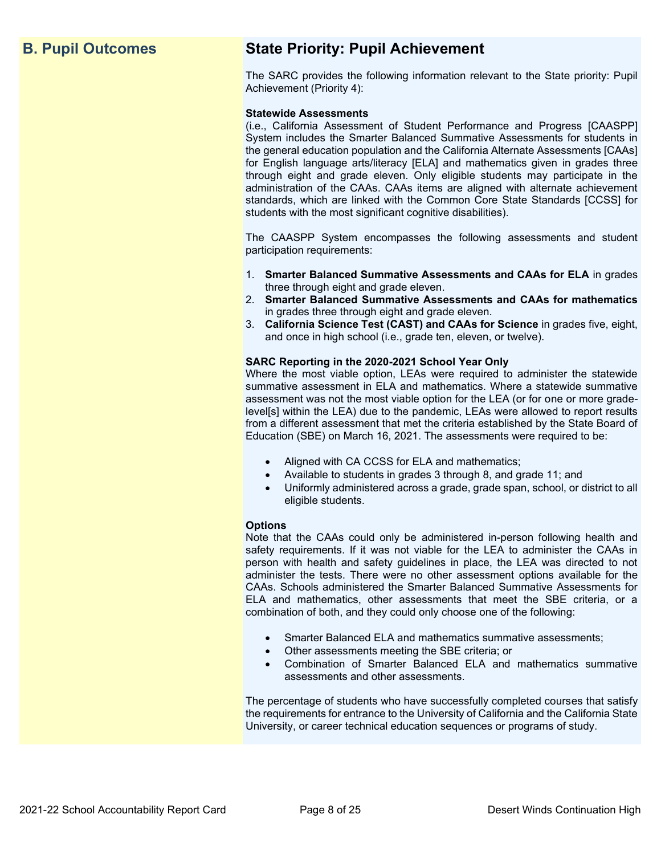## **B. Pupil Outcomes State Priority: Pupil Achievement**

The SARC provides the following information relevant to the State priority: Pupil Achievement (Priority 4):

#### **Statewide Assessments**

(i.e., California Assessment of Student Performance and Progress [CAASPP] System includes the Smarter Balanced Summative Assessments for students in the general education population and the California Alternate Assessments [CAAs] for English language arts/literacy [ELA] and mathematics given in grades three through eight and grade eleven. Only eligible students may participate in the administration of the CAAs. CAAs items are aligned with alternate achievement standards, which are linked with the Common Core State Standards [CCSS] for students with the most significant cognitive disabilities).

The CAASPP System encompasses the following assessments and student participation requirements:

- 1. **Smarter Balanced Summative Assessments and CAAs for ELA** in grades three through eight and grade eleven.
- 2. **Smarter Balanced Summative Assessments and CAAs for mathematics** in grades three through eight and grade eleven.
- 3. **California Science Test (CAST) and CAAs for Science** in grades five, eight, and once in high school (i.e., grade ten, eleven, or twelve).

#### **SARC Reporting in the 2020-2021 School Year Only**

Where the most viable option, LEAs were required to administer the statewide summative assessment in ELA and mathematics. Where a statewide summative assessment was not the most viable option for the LEA (or for one or more gradelevel[s] within the LEA) due to the pandemic, LEAs were allowed to report results from a different assessment that met the criteria established by the State Board of Education (SBE) on March 16, 2021. The assessments were required to be:

- Aligned with CA CCSS for ELA and mathematics;
- Available to students in grades 3 through 8, and grade 11; and
- Uniformly administered across a grade, grade span, school, or district to all eligible students.

#### **Options**

Note that the CAAs could only be administered in-person following health and safety requirements. If it was not viable for the LEA to administer the CAAs in person with health and safety guidelines in place, the LEA was directed to not administer the tests. There were no other assessment options available for the CAAs. Schools administered the Smarter Balanced Summative Assessments for ELA and mathematics, other assessments that meet the SBE criteria, or a combination of both, and they could only choose one of the following:

- Smarter Balanced ELA and mathematics summative assessments;
- Other assessments meeting the SBE criteria; or
- Combination of Smarter Balanced ELA and mathematics summative assessments and other assessments.

The percentage of students who have successfully completed courses that satisfy the requirements for entrance to the University of California and the California State University, or career technical education sequences or programs of study.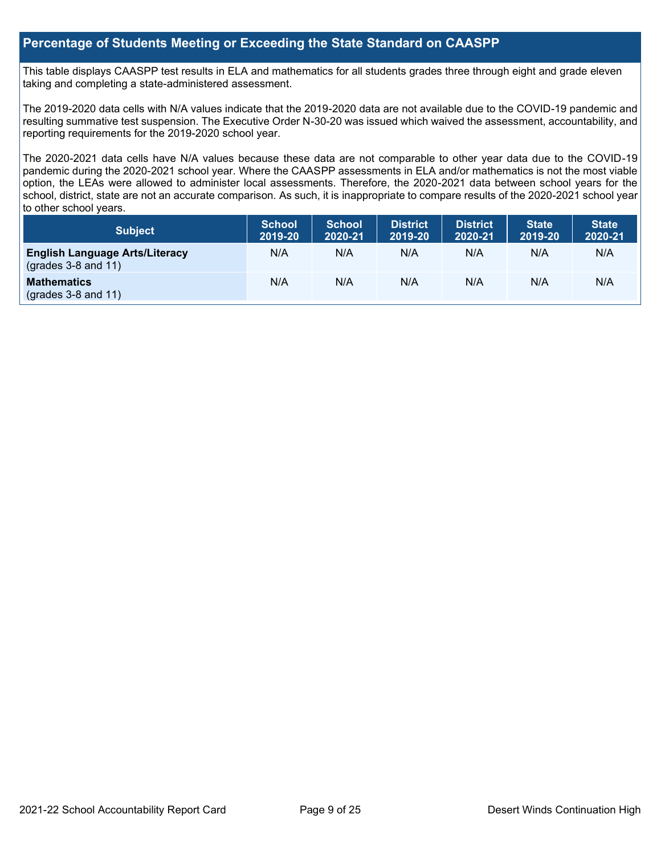## **Percentage of Students Meeting or Exceeding the State Standard on CAASPP**

This table displays CAASPP test results in ELA and mathematics for all students grades three through eight and grade eleven taking and completing a state-administered assessment.

The 2019-2020 data cells with N/A values indicate that the 2019-2020 data are not available due to the COVID-19 pandemic and resulting summative test suspension. The Executive Order N-30-20 was issued which waived the assessment, accountability, and reporting requirements for the 2019-2020 school year.

The 2020-2021 data cells have N/A values because these data are not comparable to other year data due to the COVID-19 pandemic during the 2020-2021 school year. Where the CAASPP assessments in ELA and/or mathematics is not the most viable option, the LEAs were allowed to administer local assessments. Therefore, the 2020-2021 data between school years for the school, district, state are not an accurate comparison. As such, it is inappropriate to compare results of the 2020-2021 school year to other school years.

| Subject                                                              | <b>School</b><br>2019-20 | <b>School</b><br>2020-21 | <b>District</b><br>2019-20 | <b>District</b><br>2020-21 | <b>State</b><br>2019-20 | <b>State</b><br>2020-21 |
|----------------------------------------------------------------------|--------------------------|--------------------------|----------------------------|----------------------------|-------------------------|-------------------------|
| <b>English Language Arts/Literacy</b><br>$\left($ grades 3-8 and 11) | N/A                      | N/A                      | N/A                        | N/A                        | N/A                     | N/A                     |
| <b>Mathematics</b><br>$(grades 3-8 and 11)$                          | N/A                      | N/A                      | N/A                        | N/A                        | N/A                     | N/A                     |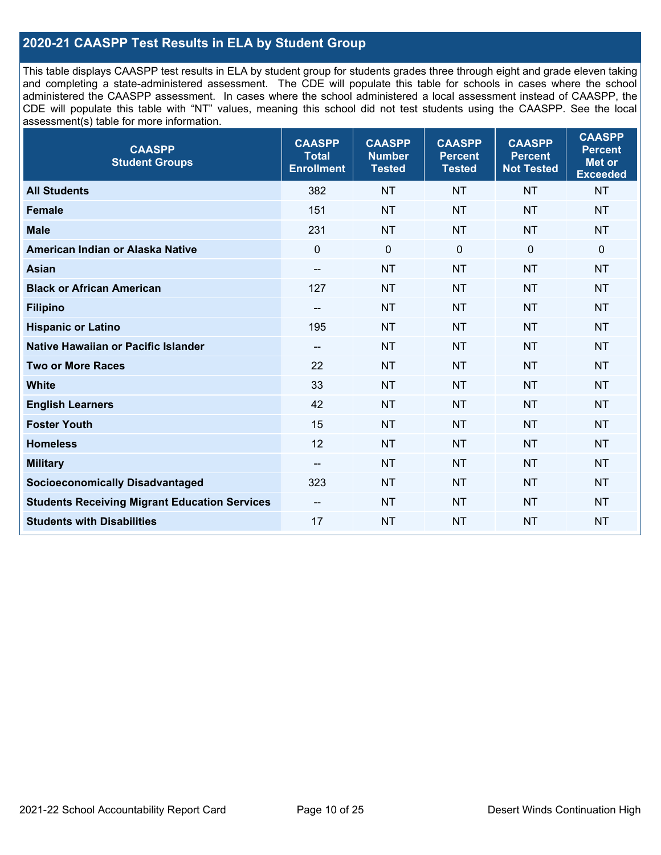## **2020-21 CAASPP Test Results in ELA by Student Group**

This table displays CAASPP test results in ELA by student group for students grades three through eight and grade eleven taking and completing a state-administered assessment. The CDE will populate this table for schools in cases where the school administered the CAASPP assessment. In cases where the school administered a local assessment instead of CAASPP, the CDE will populate this table with "NT" values, meaning this school did not test students using the CAASPP. See the local assessment(s) table for more information.

| <b>CAASPP</b><br><b>Student Groups</b>               | <b>CAASPP</b><br><b>Total</b><br><b>Enrollment</b> | <b>CAASPP</b><br><b>Number</b><br><b>Tested</b> | <b>CAASPP</b><br><b>Percent</b><br><b>Tested</b> | <b>CAASPP</b><br><b>Percent</b><br><b>Not Tested</b> | <b>CAASPP</b><br><b>Percent</b><br><b>Met or</b><br><b>Exceeded</b> |
|------------------------------------------------------|----------------------------------------------------|-------------------------------------------------|--------------------------------------------------|------------------------------------------------------|---------------------------------------------------------------------|
| <b>All Students</b>                                  | 382                                                | <b>NT</b>                                       | <b>NT</b>                                        | <b>NT</b>                                            | <b>NT</b>                                                           |
| <b>Female</b>                                        | 151                                                | <b>NT</b>                                       | <b>NT</b>                                        | <b>NT</b>                                            | <b>NT</b>                                                           |
| <b>Male</b>                                          | 231                                                | <b>NT</b>                                       | <b>NT</b>                                        | <b>NT</b>                                            | <b>NT</b>                                                           |
| American Indian or Alaska Native                     | $\mathbf 0$                                        | $\mathbf 0$                                     | $\mathbf 0$                                      | $\overline{0}$                                       | 0                                                                   |
| <b>Asian</b>                                         | $\overline{\phantom{a}}$                           | <b>NT</b>                                       | <b>NT</b>                                        | <b>NT</b>                                            | <b>NT</b>                                                           |
| <b>Black or African American</b>                     | 127                                                | <b>NT</b>                                       | <b>NT</b>                                        | <b>NT</b>                                            | NT                                                                  |
| <b>Filipino</b>                                      | $\overline{\phantom{a}}$                           | <b>NT</b>                                       | <b>NT</b>                                        | <b>NT</b>                                            | <b>NT</b>                                                           |
| <b>Hispanic or Latino</b>                            | 195                                                | <b>NT</b>                                       | <b>NT</b>                                        | <b>NT</b>                                            | <b>NT</b>                                                           |
| Native Hawaiian or Pacific Islander                  | $\overline{\phantom{a}}$                           | <b>NT</b>                                       | <b>NT</b>                                        | <b>NT</b>                                            | <b>NT</b>                                                           |
| <b>Two or More Races</b>                             | 22                                                 | <b>NT</b>                                       | <b>NT</b>                                        | <b>NT</b>                                            | <b>NT</b>                                                           |
| <b>White</b>                                         | 33                                                 | <b>NT</b>                                       | <b>NT</b>                                        | <b>NT</b>                                            | NT                                                                  |
| <b>English Learners</b>                              | 42                                                 | <b>NT</b>                                       | <b>NT</b>                                        | <b>NT</b>                                            | <b>NT</b>                                                           |
| <b>Foster Youth</b>                                  | 15                                                 | <b>NT</b>                                       | <b>NT</b>                                        | <b>NT</b>                                            | <b>NT</b>                                                           |
| <b>Homeless</b>                                      | 12                                                 | <b>NT</b>                                       | <b>NT</b>                                        | <b>NT</b>                                            | <b>NT</b>                                                           |
| <b>Military</b>                                      | $\overline{\phantom{a}}$                           | <b>NT</b>                                       | <b>NT</b>                                        | <b>NT</b>                                            | <b>NT</b>                                                           |
| <b>Socioeconomically Disadvantaged</b>               | 323                                                | <b>NT</b>                                       | <b>NT</b>                                        | <b>NT</b>                                            | <b>NT</b>                                                           |
| <b>Students Receiving Migrant Education Services</b> | $\overline{\phantom{a}}$                           | <b>NT</b>                                       | <b>NT</b>                                        | <b>NT</b>                                            | NT                                                                  |
| <b>Students with Disabilities</b>                    | 17                                                 | <b>NT</b>                                       | <b>NT</b>                                        | <b>NT</b>                                            | <b>NT</b>                                                           |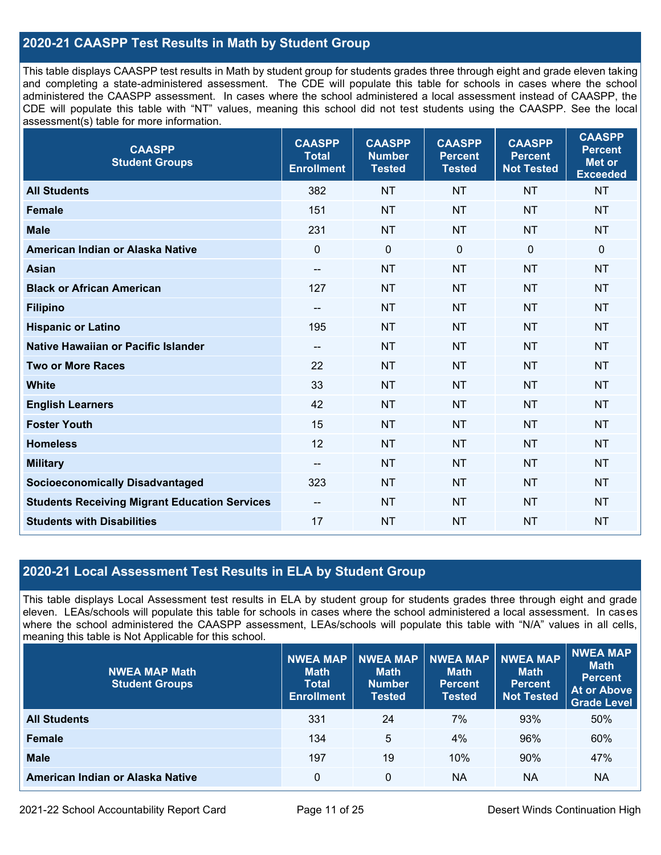## **2020-21 CAASPP Test Results in Math by Student Group**

This table displays CAASPP test results in Math by student group for students grades three through eight and grade eleven taking and completing a state-administered assessment. The CDE will populate this table for schools in cases where the school administered the CAASPP assessment. In cases where the school administered a local assessment instead of CAASPP, the CDE will populate this table with "NT" values, meaning this school did not test students using the CAASPP. See the local assessment(s) table for more information.

| <b>CAASPP</b><br><b>Student Groups</b>               | <b>CAASPP</b><br><b>Total</b><br><b>Enrollment</b> | <b>CAASPP</b><br><b>Number</b><br><b>Tested</b> | <b>CAASPP</b><br><b>Percent</b><br><b>Tested</b> | <b>CAASPP</b><br><b>Percent</b><br><b>Not Tested</b> | <b>CAASPP</b><br><b>Percent</b><br><b>Met or</b><br><b>Exceeded</b> |
|------------------------------------------------------|----------------------------------------------------|-------------------------------------------------|--------------------------------------------------|------------------------------------------------------|---------------------------------------------------------------------|
| <b>All Students</b>                                  | 382                                                | <b>NT</b>                                       | <b>NT</b>                                        | <b>NT</b>                                            | <b>NT</b>                                                           |
| <b>Female</b>                                        | 151                                                | <b>NT</b>                                       | <b>NT</b>                                        | <b>NT</b>                                            | <b>NT</b>                                                           |
| <b>Male</b>                                          | 231                                                | <b>NT</b>                                       | <b>NT</b>                                        | <b>NT</b>                                            | <b>NT</b>                                                           |
| American Indian or Alaska Native                     | $\mathbf 0$                                        | $\mathbf 0$                                     | $\mathbf 0$                                      | $\mathbf 0$                                          | $\mathbf 0$                                                         |
| <b>Asian</b>                                         | $\overline{\phantom{a}}$                           | <b>NT</b>                                       | <b>NT</b>                                        | <b>NT</b>                                            | <b>NT</b>                                                           |
| <b>Black or African American</b>                     | 127                                                | <b>NT</b>                                       | <b>NT</b>                                        | <b>NT</b>                                            | <b>NT</b>                                                           |
| <b>Filipino</b>                                      | $\overline{\phantom{a}}$                           | <b>NT</b>                                       | <b>NT</b>                                        | <b>NT</b>                                            | <b>NT</b>                                                           |
| <b>Hispanic or Latino</b>                            | 195                                                | <b>NT</b>                                       | <b>NT</b>                                        | <b>NT</b>                                            | <b>NT</b>                                                           |
| <b>Native Hawaiian or Pacific Islander</b>           | $\overline{\phantom{a}}$                           | <b>NT</b>                                       | <b>NT</b>                                        | <b>NT</b>                                            | <b>NT</b>                                                           |
| <b>Two or More Races</b>                             | 22                                                 | <b>NT</b>                                       | <b>NT</b>                                        | <b>NT</b>                                            | <b>NT</b>                                                           |
| <b>White</b>                                         | 33                                                 | <b>NT</b>                                       | <b>NT</b>                                        | <b>NT</b>                                            | <b>NT</b>                                                           |
| <b>English Learners</b>                              | 42                                                 | <b>NT</b>                                       | <b>NT</b>                                        | <b>NT</b>                                            | <b>NT</b>                                                           |
| <b>Foster Youth</b>                                  | 15                                                 | <b>NT</b>                                       | <b>NT</b>                                        | <b>NT</b>                                            | <b>NT</b>                                                           |
| <b>Homeless</b>                                      | 12                                                 | <b>NT</b>                                       | <b>NT</b>                                        | <b>NT</b>                                            | <b>NT</b>                                                           |
| <b>Military</b>                                      | --                                                 | <b>NT</b>                                       | <b>NT</b>                                        | <b>NT</b>                                            | <b>NT</b>                                                           |
| <b>Socioeconomically Disadvantaged</b>               | 323                                                | <b>NT</b>                                       | <b>NT</b>                                        | <b>NT</b>                                            | <b>NT</b>                                                           |
| <b>Students Receiving Migrant Education Services</b> | $\overline{\phantom{a}}$                           | <b>NT</b>                                       | <b>NT</b>                                        | <b>NT</b>                                            | <b>NT</b>                                                           |
| <b>Students with Disabilities</b>                    | 17                                                 | <b>NT</b>                                       | <b>NT</b>                                        | <b>NT</b>                                            | <b>NT</b>                                                           |

## **2020-21 Local Assessment Test Results in ELA by Student Group**

This table displays Local Assessment test results in ELA by student group for students grades three through eight and grade eleven. LEAs/schools will populate this table for schools in cases where the school administered a local assessment. In cases where the school administered the CAASPP assessment, LEAs/schools will populate this table with "N/A" values in all cells, meaning this table is Not Applicable for this school.

| <b>NWEA MAP Math</b><br><b>Student Groups</b> | <b>NWEA MAP</b><br><b>Math</b><br><b>Total</b><br><b>Enrollment</b> | <b>NWEA MAP</b><br><b>Math</b><br><b>Number</b><br><b>Tested</b> | <b>INWEA MAP</b><br><b>Math</b><br><b>Percent</b><br><b>Tested</b> | <b>NWEA MAP</b><br><b>Math</b><br><b>Percent</b><br><b>Not Tested</b> | NWEA MAP<br><b>Math</b><br><b>Percent</b><br><b>At or Above</b><br><b>Grade Level</b> |
|-----------------------------------------------|---------------------------------------------------------------------|------------------------------------------------------------------|--------------------------------------------------------------------|-----------------------------------------------------------------------|---------------------------------------------------------------------------------------|
| <b>All Students</b>                           | 331                                                                 | 24                                                               | 7%                                                                 | 93%                                                                   | 50%                                                                                   |
| <b>Female</b>                                 | 134                                                                 | 5                                                                | 4%                                                                 | 96%                                                                   | 60%                                                                                   |
| <b>Male</b>                                   | 197                                                                 | 19                                                               | 10%                                                                | 90%                                                                   | 47%                                                                                   |
| American Indian or Alaska Native              | 0                                                                   | 0                                                                | <b>NA</b>                                                          | <b>NA</b>                                                             | NA                                                                                    |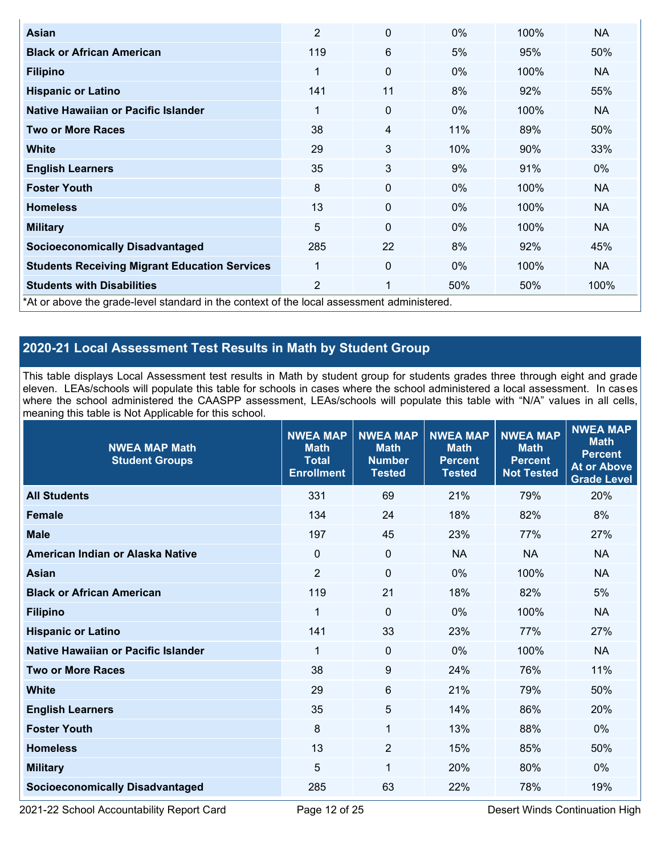| Asian                                                | $\overline{2}$                                                                             | 0  | $0\%$ | 100% | <b>NA</b> |  |  |  |  |
|------------------------------------------------------|--------------------------------------------------------------------------------------------|----|-------|------|-----------|--|--|--|--|
| <b>Black or African American</b>                     | 119                                                                                        | 6  | 5%    | 95%  | 50%       |  |  |  |  |
| <b>Filipino</b>                                      | 1                                                                                          | 0  | 0%    | 100% | NA.       |  |  |  |  |
| <b>Hispanic or Latino</b>                            | 141                                                                                        | 11 | 8%    | 92%  | 55%       |  |  |  |  |
| Native Hawaiian or Pacific Islander                  | 1                                                                                          | 0  | $0\%$ | 100% | NA.       |  |  |  |  |
| <b>Two or More Races</b>                             | 38                                                                                         | 4  | 11%   | 89%  | 50%       |  |  |  |  |
| <b>White</b>                                         | 29                                                                                         | 3  | 10%   | 90%  | 33%       |  |  |  |  |
| <b>English Learners</b>                              | 35                                                                                         | 3  | 9%    | 91%  | $0\%$     |  |  |  |  |
| <b>Foster Youth</b>                                  | 8                                                                                          | 0  | $0\%$ | 100% | <b>NA</b> |  |  |  |  |
| <b>Homeless</b>                                      | 13                                                                                         | 0  | $0\%$ | 100% | <b>NA</b> |  |  |  |  |
| <b>Military</b>                                      | 5                                                                                          | 0  | 0%    | 100% | <b>NA</b> |  |  |  |  |
| <b>Socioeconomically Disadvantaged</b>               | 285                                                                                        | 22 | 8%    | 92%  | 45%       |  |  |  |  |
| <b>Students Receiving Migrant Education Services</b> | 1                                                                                          | 0  | $0\%$ | 100% | <b>NA</b> |  |  |  |  |
| <b>Students with Disabilities</b>                    | $\overline{2}$                                                                             | 1  | 50%   | 50%  | 100%      |  |  |  |  |
|                                                      | *At or above the grade-level standard in the context of the local assessment administered. |    |       |      |           |  |  |  |  |

## **2020-21 Local Assessment Test Results in Math by Student Group**

This table displays Local Assessment test results in Math by student group for students grades three through eight and grade eleven. LEAs/schools will populate this table for schools in cases where the school administered a local assessment. In cases where the school administered the CAASPP assessment, LEAs/schools will populate this table with "N/A" values in all cells, meaning this table is Not Applicable for this school.

| <b>NWEA MAP Math</b><br><b>Student Groups</b> | <b>NWEA MAP</b><br><b>Math</b><br><b>Total</b><br><b>Enrollment</b> | <b>NWEA MAP</b><br><b>Math</b><br><b>Number</b><br><b>Tested</b> | <b>NWEA MAP</b><br><b>Math</b><br><b>Percent</b><br><b>Tested</b> | <b>NWEA MAP</b><br><b>Math</b><br><b>Percent</b><br><b>Not Tested</b> | <b>NWEA MAP</b><br><b>Math</b><br><b>Percent</b><br><b>At or Above</b><br><b>Grade Level</b> |
|-----------------------------------------------|---------------------------------------------------------------------|------------------------------------------------------------------|-------------------------------------------------------------------|-----------------------------------------------------------------------|----------------------------------------------------------------------------------------------|
| <b>All Students</b>                           | 331                                                                 | 69                                                               | 21%                                                               | 79%                                                                   | 20%                                                                                          |
| <b>Female</b>                                 | 134                                                                 | 24                                                               | 18%                                                               | 82%                                                                   | 8%                                                                                           |
| <b>Male</b>                                   | 197                                                                 | 45                                                               | 23%                                                               | 77%                                                                   | 27%                                                                                          |
| American Indian or Alaska Native              | $\mathbf 0$                                                         | $\mathbf 0$                                                      | <b>NA</b>                                                         | <b>NA</b>                                                             | <b>NA</b>                                                                                    |
| <b>Asian</b>                                  | $\overline{2}$                                                      | $\pmb{0}$                                                        | 0%                                                                | 100%                                                                  | <b>NA</b>                                                                                    |
| <b>Black or African American</b>              | 119                                                                 | 21                                                               | 18%                                                               | 82%                                                                   | 5%                                                                                           |
| <b>Filipino</b>                               | 1                                                                   | $\mathbf 0$                                                      | 0%                                                                | 100%                                                                  | <b>NA</b>                                                                                    |
| <b>Hispanic or Latino</b>                     | 141                                                                 | 33                                                               | 23%                                                               | 77%                                                                   | 27%                                                                                          |
| Native Hawaiian or Pacific Islander           | 1                                                                   | $\Omega$                                                         | 0%                                                                | 100%                                                                  | <b>NA</b>                                                                                    |
| <b>Two or More Races</b>                      | 38                                                                  | $\boldsymbol{9}$                                                 | 24%                                                               | 76%                                                                   | 11%                                                                                          |
| <b>White</b>                                  | 29                                                                  | 6                                                                | 21%                                                               | 79%                                                                   | 50%                                                                                          |
| <b>English Learners</b>                       | 35                                                                  | 5                                                                | 14%                                                               | 86%                                                                   | 20%                                                                                          |
| <b>Foster Youth</b>                           | 8                                                                   | $\mathbf{1}$                                                     | 13%                                                               | 88%                                                                   | 0%                                                                                           |
| <b>Homeless</b>                               | 13                                                                  | 2                                                                | 15%                                                               | 85%                                                                   | 50%                                                                                          |
| <b>Military</b>                               | 5                                                                   | 1                                                                | 20%                                                               | 80%                                                                   | 0%                                                                                           |
| <b>Socioeconomically Disadvantaged</b>        | 285                                                                 | 63                                                               | 22%                                                               | 78%                                                                   | 19%                                                                                          |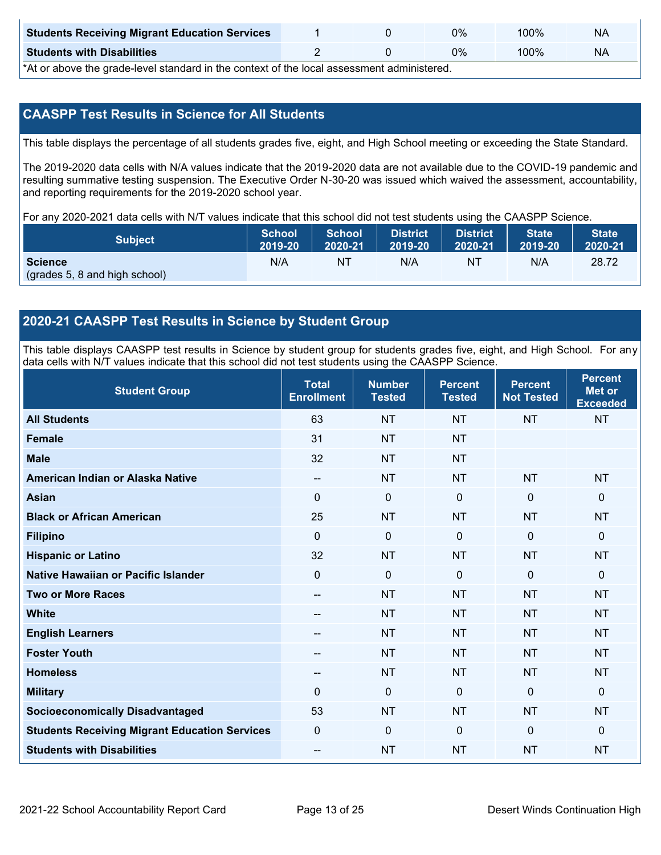| <b>Students Receiving Migrant Education Services</b> |  | $0\%$ | 100% | <b>NA</b> |
|------------------------------------------------------|--|-------|------|-----------|
| <b>Students with Disabilities</b>                    |  | $0\%$ | 00%ا | NA        |

\*At or above the grade-level standard in the context of the local assessment administered.

## **CAASPP Test Results in Science for All Students**

This table displays the percentage of all students grades five, eight, and High School meeting or exceeding the State Standard.

The 2019-2020 data cells with N/A values indicate that the 2019-2020 data are not available due to the COVID-19 pandemic and resulting summative testing suspension. The Executive Order N-30-20 was issued which waived the assessment, accountability, and reporting requirements for the 2019-2020 school year.

For any 2020-2021 data cells with N/T values indicate that this school did not test students using the CAASPP Science.

| <b>Subject</b>                                  | School  | <b>School</b> | <b>District</b> | <b>District</b> | <b>State</b> | <b>State</b> |
|-------------------------------------------------|---------|---------------|-----------------|-----------------|--------------|--------------|
|                                                 | 2019-20 | 2020-21       | 2019-20         | 2020-21         | 2019-20      | 2020-21      |
| <b>Science</b><br>(grades 5, 8 and high school) | N/A     | NT            | N/A             | N1              | N/A          | 28.72        |

## **2020-21 CAASPP Test Results in Science by Student Group**

This table displays CAASPP test results in Science by student group for students grades five, eight, and High School. For any data cells with N/T values indicate that this school did not test students using the CAASPP Science.

| <b>Student Group</b>                                 | <b>Total</b><br><b>Enrollment</b> | <b>Number</b><br><b>Tested</b> | <b>Percent</b><br><b>Tested</b> | <b>Percent</b><br><b>Not Tested</b> | <b>Percent</b><br><b>Met or</b><br><b>Exceeded</b> |
|------------------------------------------------------|-----------------------------------|--------------------------------|---------------------------------|-------------------------------------|----------------------------------------------------|
| <b>All Students</b>                                  | 63                                | <b>NT</b>                      | <b>NT</b>                       | <b>NT</b>                           | <b>NT</b>                                          |
| <b>Female</b>                                        | 31                                | <b>NT</b>                      | <b>NT</b>                       |                                     |                                                    |
| <b>Male</b>                                          | 32                                | <b>NT</b>                      | <b>NT</b>                       |                                     |                                                    |
| American Indian or Alaska Native                     | $\overline{\phantom{a}}$          | <b>NT</b>                      | <b>NT</b>                       | <b>NT</b>                           | <b>NT</b>                                          |
| <b>Asian</b>                                         | $\mathbf 0$                       | $\mathbf 0$                    | $\mathbf 0$                     | $\mathbf 0$                         | $\mathbf 0$                                        |
| <b>Black or African American</b>                     | 25                                | <b>NT</b>                      | <b>NT</b>                       | <b>NT</b>                           | <b>NT</b>                                          |
| <b>Filipino</b>                                      | $\Omega$                          | $\mathbf 0$                    | $\mathbf{0}$                    | $\mathbf{0}$                        | $\mathbf 0$                                        |
| <b>Hispanic or Latino</b>                            | 32                                | <b>NT</b>                      | <b>NT</b>                       | <b>NT</b>                           | <b>NT</b>                                          |
| Native Hawaiian or Pacific Islander                  | $\overline{0}$                    | $\mathbf 0$                    | $\mathbf{0}$                    | $\mathbf 0$                         | $\mathbf 0$                                        |
| <b>Two or More Races</b>                             | --                                | <b>NT</b>                      | <b>NT</b>                       | <b>NT</b>                           | <b>NT</b>                                          |
| <b>White</b>                                         | --                                | <b>NT</b>                      | <b>NT</b>                       | <b>NT</b>                           | <b>NT</b>                                          |
| <b>English Learners</b>                              |                                   | <b>NT</b>                      | <b>NT</b>                       | <b>NT</b>                           | <b>NT</b>                                          |
| <b>Foster Youth</b>                                  | --                                | <b>NT</b>                      | <b>NT</b>                       | <b>NT</b>                           | <b>NT</b>                                          |
| <b>Homeless</b>                                      | --                                | <b>NT</b>                      | <b>NT</b>                       | <b>NT</b>                           | <b>NT</b>                                          |
| <b>Military</b>                                      | $\Omega$                          | $\mathbf 0$                    | $\Omega$                        | $\mathbf{0}$                        | $\mathbf 0$                                        |
| <b>Socioeconomically Disadvantaged</b>               | 53                                | <b>NT</b>                      | <b>NT</b>                       | <b>NT</b>                           | <b>NT</b>                                          |
| <b>Students Receiving Migrant Education Services</b> | $\mathbf 0$                       | $\mathbf 0$                    | $\mathbf{0}$                    | $\mathbf 0$                         | $\mathbf 0$                                        |
| <b>Students with Disabilities</b>                    | $\overline{a}$                    | <b>NT</b>                      | <b>NT</b>                       | <b>NT</b>                           | <b>NT</b>                                          |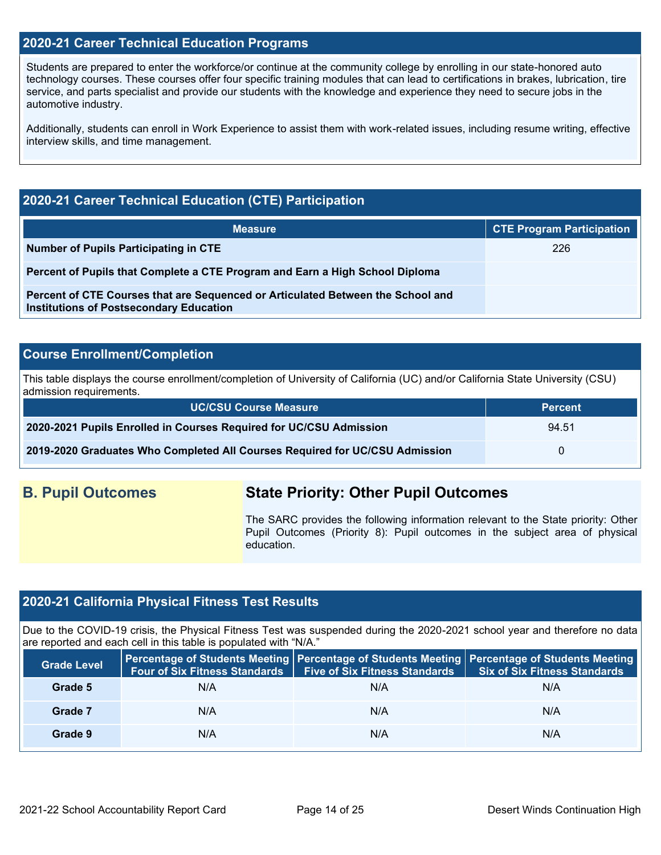### **2020-21 Career Technical Education Programs**

Students are prepared to enter the workforce/or continue at the community college by enrolling in our state-honored auto technology courses. These courses offer four specific training modules that can lead to certifications in brakes, lubrication, tire service, and parts specialist and provide our students with the knowledge and experience they need to secure jobs in the automotive industry.

Additionally, students can enroll in Work Experience to assist them with work-related issues, including resume writing, effective interview skills, and time management.

## **2020-21 Career Technical Education (CTE) Participation**

| <b>Measure</b>                                                                                                                    | <b>CTE Program Participation</b> |
|-----------------------------------------------------------------------------------------------------------------------------------|----------------------------------|
| Number of Pupils Participating in CTE                                                                                             | 226                              |
| Percent of Pupils that Complete a CTE Program and Earn a High School Diploma                                                      |                                  |
| Percent of CTE Courses that are Sequenced or Articulated Between the School and<br><b>Institutions of Postsecondary Education</b> |                                  |

#### **Course Enrollment/Completion**

This table displays the course enrollment/completion of University of California (UC) and/or California State University (CSU) admission requirements.

| UC/CSU Course Measure                                                       | ' Percent <sub>'</sub> |
|-----------------------------------------------------------------------------|------------------------|
| 2020-2021 Pupils Enrolled in Courses Required for UC/CSU Admission          | 94.51                  |
| 2019-2020 Graduates Who Completed All Courses Required for UC/CSU Admission |                        |

## **B. Pupil Outcomes State Priority: Other Pupil Outcomes**

The SARC provides the following information relevant to the State priority: Other Pupil Outcomes (Priority 8): Pupil outcomes in the subject area of physical education.

## **2020-21 California Physical Fitness Test Results**

Due to the COVID-19 crisis, the Physical Fitness Test was suspended during the 2020-2021 school year and therefore no data are reported and each cell in this table is populated with "N/A."

| <b>Grade Level</b> | Four of Six Fitness Standards   Five of Six Fitness Standards |     | Percentage of Students Meeting   Percentage of Students Meeting   Percentage of Students Meeting<br><b>Six of Six Fitness Standards</b> |
|--------------------|---------------------------------------------------------------|-----|-----------------------------------------------------------------------------------------------------------------------------------------|
| Grade 5            | N/A                                                           | N/A | N/A                                                                                                                                     |
| Grade 7            | N/A                                                           | N/A | N/A                                                                                                                                     |
| Grade 9            | N/A                                                           | N/A | N/A                                                                                                                                     |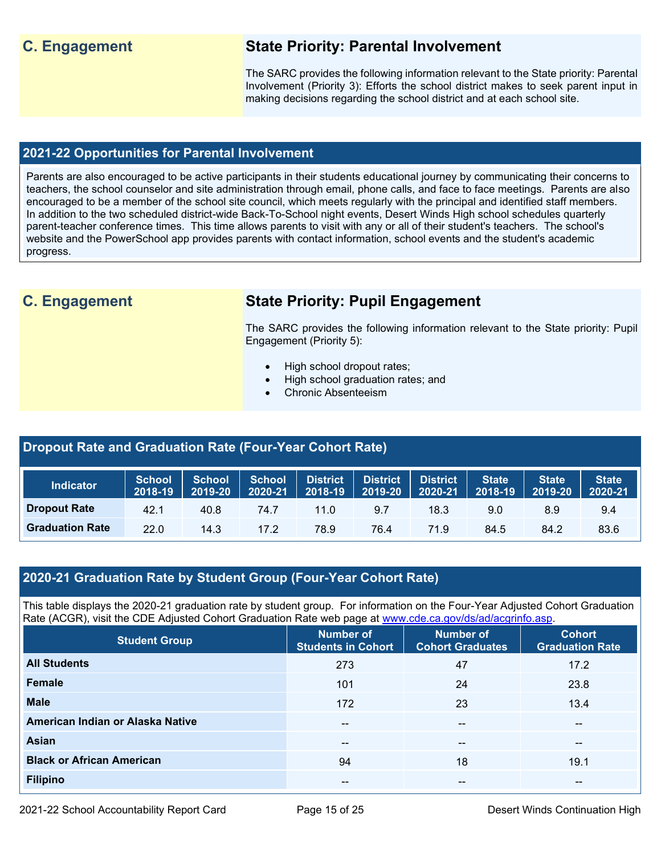## **C. Engagement State Priority: Parental Involvement**

The SARC provides the following information relevant to the State priority: Parental Involvement (Priority 3): Efforts the school district makes to seek parent input in making decisions regarding the school district and at each school site.

### **2021-22 Opportunities for Parental Involvement**

Parents are also encouraged to be active participants in their students educational journey by communicating their concerns to teachers, the school counselor and site administration through email, phone calls, and face to face meetings. Parents are also encouraged to be a member of the school site council, which meets regularly with the principal and identified staff members. In addition to the two scheduled district-wide Back-To-School night events, Desert Winds High school schedules quarterly parent-teacher conference times. This time allows parents to visit with any or all of their student's teachers. The school's website and the PowerSchool app provides parents with contact information, school events and the student's academic progress.

## **C. Engagement State Priority: Pupil Engagement**

The SARC provides the following information relevant to the State priority: Pupil Engagement (Priority 5):

- High school dropout rates;
- High school graduation rates; and
- Chronic Absenteeism

#### **Dropout Rate and Graduation Rate (Four-Year Cohort Rate)**

| <b>Indicator</b>       | <b>School</b><br>2018-19 | <b>School</b><br>2019-20 | School District<br>2020-21 | $ 2018-19 $ | <b>District</b><br>2019-20 | <b>District</b><br>2020-21 | <b>State</b><br>2018-19 | <b>State</b><br>$ 2019-20 $ | <b>State</b><br>2020-21 |
|------------------------|--------------------------|--------------------------|----------------------------|-------------|----------------------------|----------------------------|-------------------------|-----------------------------|-------------------------|
| <b>Dropout Rate</b>    | 42.1                     | 40.8                     | 74.7                       | 11.0        | 9.7                        | 18.3                       | 9.0                     | 8.9                         | 9.4                     |
| <b>Graduation Rate</b> | 22.0                     | 14.3                     | 17.2                       | 78.9        | 76.4                       | 71.9                       | 84.5                    | 84.2                        | 83.6                    |

## **2020-21 Graduation Rate by Student Group (Four-Year Cohort Rate)**

This table displays the 2020-21 graduation rate by student group. For information on the Four-Year Adjusted Cohort Graduation Rate (ACGR), visit the CDE Adjusted Cohort Graduation Rate web page at [www.cde.ca.gov/ds/ad/acgrinfo.asp.](http://www.cde.ca.gov/ds/ad/acgrinfo.asp)

| <b>Student Group</b>             | <b>Number of</b><br><b>Students in Cohort</b> | <b>Number of</b><br><b>Cohort Graduates</b> | <b>Cohort</b><br><b>Graduation Rate</b> |
|----------------------------------|-----------------------------------------------|---------------------------------------------|-----------------------------------------|
| <b>All Students</b>              | 273                                           | 47                                          | 17.2                                    |
| <b>Female</b>                    | 101                                           | 24                                          | 23.8                                    |
| <b>Male</b>                      | 172                                           | 23                                          | 13.4                                    |
| American Indian or Alaska Native | $\sim$ $\sim$                                 | --                                          | --                                      |
| Asian                            | --                                            | --                                          | $- -$                                   |
| <b>Black or African American</b> | 94                                            | 18                                          | 19.1                                    |
| <b>Filipino</b>                  | $- -$                                         | --                                          | $- -$                                   |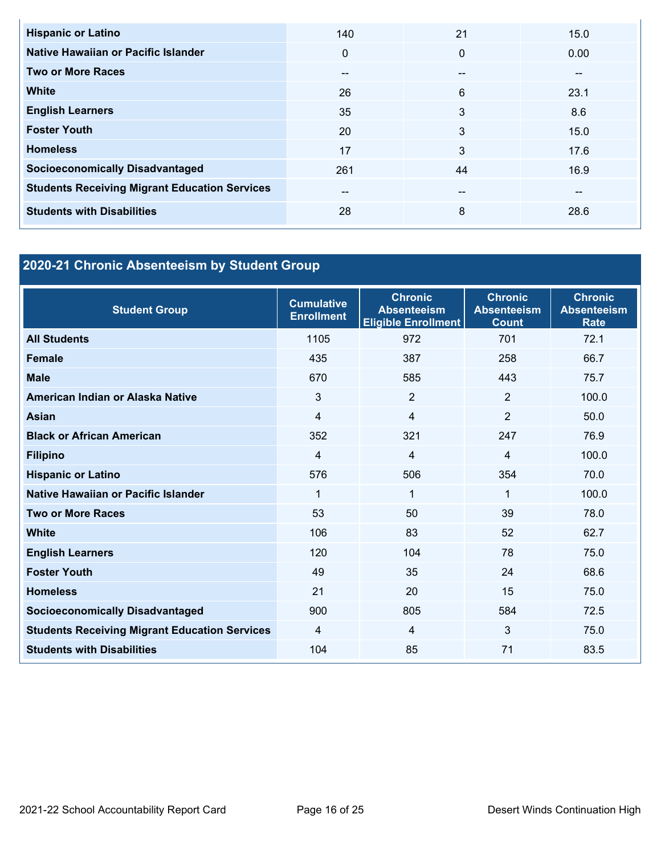| <b>Hispanic or Latino</b>                            | 140      | 21           | 15.0 |
|------------------------------------------------------|----------|--------------|------|
| Native Hawaiian or Pacific Islander                  | $\Omega$ | $\mathbf{0}$ | 0.00 |
| <b>Two or More Races</b>                             | $- -$    | --           | --   |
| <b>White</b>                                         | 26       | 6            | 23.1 |
| <b>English Learners</b>                              | 35       | 3            | 8.6  |
| <b>Foster Youth</b>                                  | 20       | 3            | 15.0 |
| <b>Homeless</b>                                      | 17       | 3            | 17.6 |
| <b>Socioeconomically Disadvantaged</b>               | 261      | 44           | 16.9 |
| <b>Students Receiving Migrant Education Services</b> | $- -$    | $- -$        | --   |
| <b>Students with Disabilities</b>                    | 28       | 8            | 28.6 |

## **2020-21 Chronic Absenteeism by Student Group**

| <b>Student Group</b>                                 | <b>Cumulative</b><br><b>Enrollment</b> | <b>Chronic</b><br><b>Absenteeism</b><br><b>Eligible Enrollment</b> | <b>Chronic</b><br><b>Absenteeism</b><br><b>Count</b> | <b>Chronic</b><br><b>Absenteeism</b><br><b>Rate</b> |
|------------------------------------------------------|----------------------------------------|--------------------------------------------------------------------|------------------------------------------------------|-----------------------------------------------------|
| <b>All Students</b>                                  | 1105                                   | 972                                                                | 701                                                  | 72.1                                                |
| <b>Female</b>                                        | 435                                    | 387                                                                | 258                                                  | 66.7                                                |
| <b>Male</b>                                          | 670                                    | 585                                                                | 443                                                  | 75.7                                                |
| American Indian or Alaska Native                     | 3                                      | $\overline{2}$                                                     | $\overline{2}$                                       | 100.0                                               |
| Asian                                                | $\overline{4}$                         | 4                                                                  | $\overline{2}$                                       | 50.0                                                |
| <b>Black or African American</b>                     | 352                                    | 321                                                                | 247                                                  | 76.9                                                |
| <b>Filipino</b>                                      | $\overline{4}$                         | 4                                                                  | 4                                                    | 100.0                                               |
| <b>Hispanic or Latino</b>                            | 576                                    | 506                                                                | 354                                                  | 70.0                                                |
| Native Hawaiian or Pacific Islander                  | 1                                      | 1                                                                  | 1                                                    | 100.0                                               |
| <b>Two or More Races</b>                             | 53                                     | 50                                                                 | 39                                                   | 78.0                                                |
| White                                                | 106                                    | 83                                                                 | 52                                                   | 62.7                                                |
| <b>English Learners</b>                              | 120                                    | 104                                                                | 78                                                   | 75.0                                                |
| <b>Foster Youth</b>                                  | 49                                     | 35                                                                 | 24                                                   | 68.6                                                |
| <b>Homeless</b>                                      | 21                                     | 20                                                                 | 15                                                   | 75.0                                                |
| <b>Socioeconomically Disadvantaged</b>               | 900                                    | 805                                                                | 584                                                  | 72.5                                                |
| <b>Students Receiving Migrant Education Services</b> | $\overline{4}$                         | 4                                                                  | 3                                                    | 75.0                                                |
| <b>Students with Disabilities</b>                    | 104                                    | 85                                                                 | 71                                                   | 83.5                                                |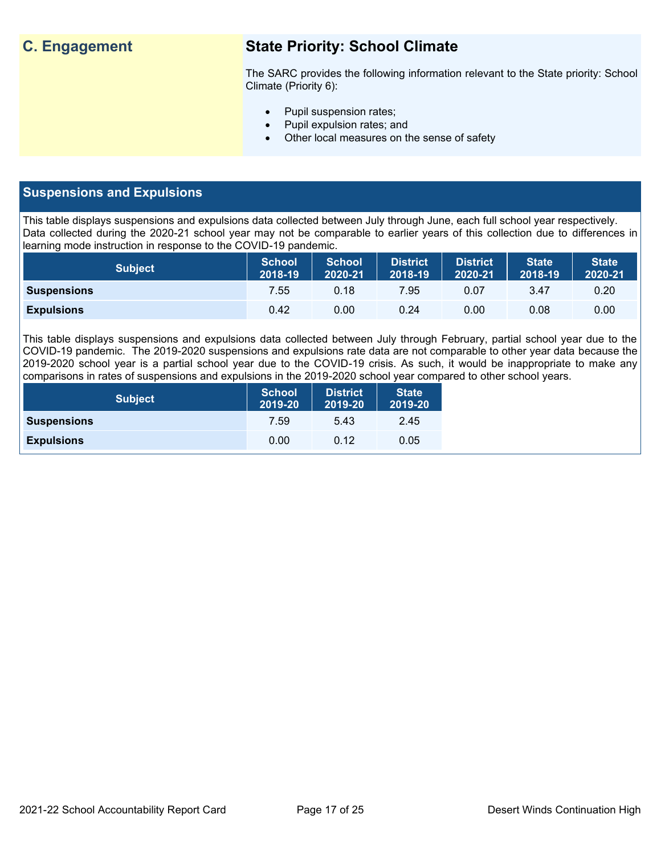## **C. Engagement State Priority: School Climate**

The SARC provides the following information relevant to the State priority: School Climate (Priority 6):

- Pupil suspension rates;
- Pupil expulsion rates; and
- Other local measures on the sense of safety

## **Suspensions and Expulsions**

This table displays suspensions and expulsions data collected between July through June, each full school year respectively. Data collected during the 2020-21 school year may not be comparable to earlier years of this collection due to differences in learning mode instruction in response to the COVID-19 pandemic.

| <b>Subject</b>     | <b>School</b><br>2018-19 | <b>School</b><br>2020-21 | <b>District</b><br>2018-19 | <b>District</b><br>2020-21 | <b>State</b><br>2018-19 | <b>State</b><br>2020-21 |
|--------------------|--------------------------|--------------------------|----------------------------|----------------------------|-------------------------|-------------------------|
| <b>Suspensions</b> | 7.55                     | 0.18                     | 7.95                       | 0.07                       | 3.47                    | 0.20                    |
| <b>Expulsions</b>  | 0.42                     | 0.00                     | 0.24                       | 0.00                       | 0.08                    | 0.00                    |

This table displays suspensions and expulsions data collected between July through February, partial school year due to the COVID-19 pandemic. The 2019-2020 suspensions and expulsions rate data are not comparable to other year data because the 2019-2020 school year is a partial school year due to the COVID-19 crisis. As such, it would be inappropriate to make any comparisons in rates of suspensions and expulsions in the 2019-2020 school year compared to other school years.

| <b>Subject</b>     | <b>School</b><br>2019-20 | <b>District</b><br>2019-20 | <b>State</b><br>2019-20 |
|--------------------|--------------------------|----------------------------|-------------------------|
| <b>Suspensions</b> | 7.59                     | 5.43                       | 2.45                    |
| <b>Expulsions</b>  | 0.00                     | 0.12                       | 0.05                    |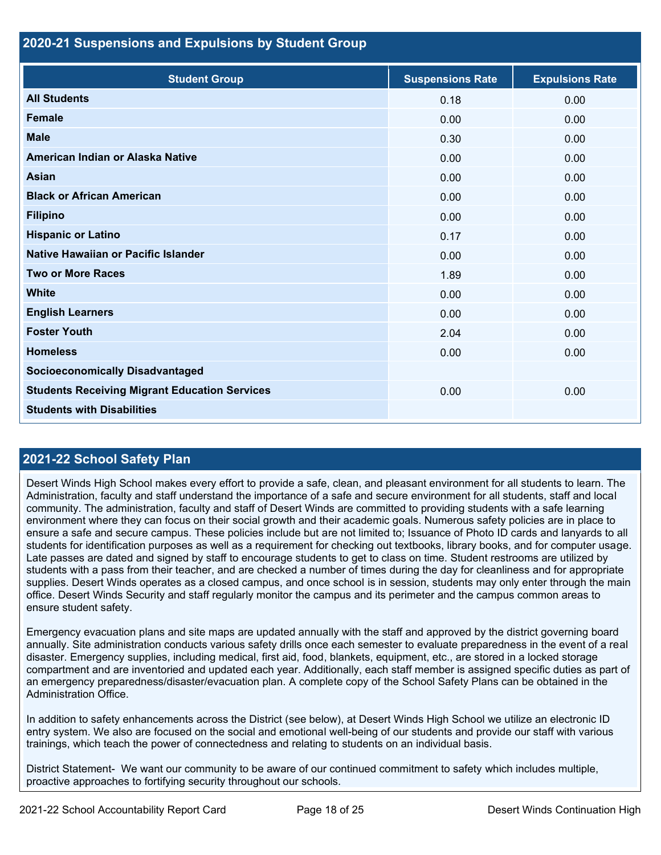### **2020-21 Suspensions and Expulsions by Student Group**

| <b>Student Group</b>                                 | <b>Suspensions Rate</b> | <b>Expulsions Rate</b> |
|------------------------------------------------------|-------------------------|------------------------|
| <b>All Students</b>                                  | 0.18                    | 0.00                   |
| <b>Female</b>                                        | 0.00                    | 0.00                   |
| <b>Male</b>                                          | 0.30                    | 0.00                   |
| American Indian or Alaska Native                     | 0.00                    | 0.00                   |
| <b>Asian</b>                                         | 0.00                    | 0.00                   |
| <b>Black or African American</b>                     | 0.00                    | 0.00                   |
| <b>Filipino</b>                                      | 0.00                    | 0.00                   |
| <b>Hispanic or Latino</b>                            | 0.17                    | 0.00                   |
| Native Hawaiian or Pacific Islander                  | 0.00                    | 0.00                   |
| <b>Two or More Races</b>                             | 1.89                    | 0.00                   |
| White                                                | 0.00                    | 0.00                   |
| <b>English Learners</b>                              | 0.00                    | 0.00                   |
| <b>Foster Youth</b>                                  | 2.04                    | 0.00                   |
| <b>Homeless</b>                                      | 0.00                    | 0.00                   |
| <b>Socioeconomically Disadvantaged</b>               |                         |                        |
| <b>Students Receiving Migrant Education Services</b> | 0.00                    | 0.00                   |
| <b>Students with Disabilities</b>                    |                         |                        |

## **2021-22 School Safety Plan**

Desert Winds High School makes every effort to provide a safe, clean, and pleasant environment for all students to learn. The Administration, faculty and staff understand the importance of a safe and secure environment for all students, staff and local community. The administration, faculty and staff of Desert Winds are committed to providing students with a safe learning environment where they can focus on their social growth and their academic goals. Numerous safety policies are in place to ensure a safe and secure campus. These policies include but are not limited to; Issuance of Photo ID cards and lanyards to all students for identification purposes as well as a requirement for checking out textbooks, library books, and for computer usage. Late passes are dated and signed by staff to encourage students to get to class on time. Student restrooms are utilized by students with a pass from their teacher, and are checked a number of times during the day for cleanliness and for appropriate supplies. Desert Winds operates as a closed campus, and once school is in session, students may only enter through the main office. Desert Winds Security and staff regularly monitor the campus and its perimeter and the campus common areas to ensure student safety.

Emergency evacuation plans and site maps are updated annually with the staff and approved by the district governing board annually. Site administration conducts various safety drills once each semester to evaluate preparedness in the event of a real disaster. Emergency supplies, including medical, first aid, food, blankets, equipment, etc., are stored in a locked storage compartment and are inventoried and updated each year. Additionally, each staff member is assigned specific duties as part of an emergency preparedness/disaster/evacuation plan. A complete copy of the School Safety Plans can be obtained in the Administration Office.

In addition to safety enhancements across the District (see below), at Desert Winds High School we utilize an electronic ID entry system. We also are focused on the social and emotional well-being of our students and provide our staff with various trainings, which teach the power of connectedness and relating to students on an individual basis.

District Statement- We want our community to be aware of our continued commitment to safety which includes multiple, proactive approaches to fortifying security throughout our schools.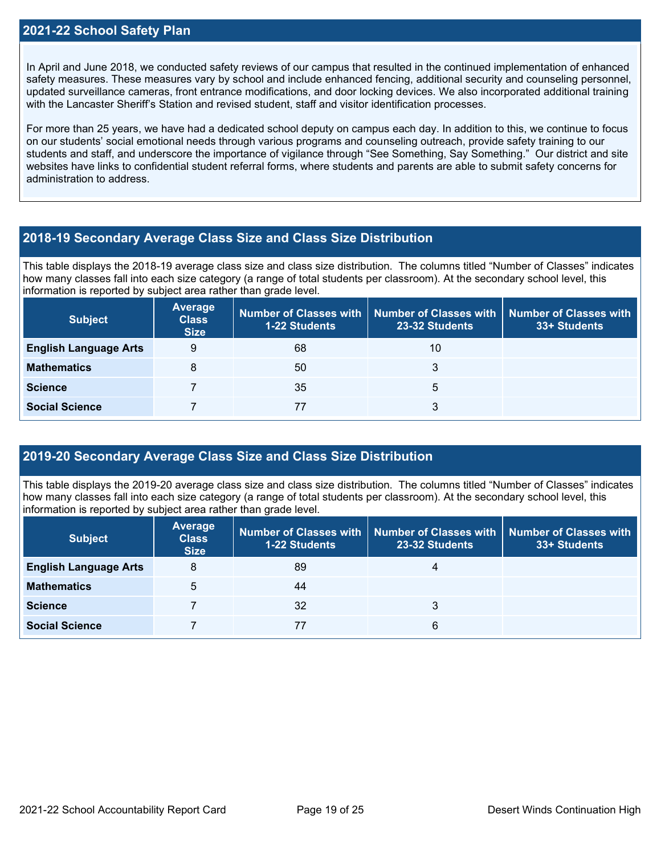In April and June 2018, we conducted safety reviews of our campus that resulted in the continued implementation of enhanced safety measures. These measures vary by school and include enhanced fencing, additional security and counseling personnel, updated surveillance cameras, front entrance modifications, and door locking devices. We also incorporated additional training with the Lancaster Sheriff's Station and revised student, staff and visitor identification processes.

For more than 25 years, we have had a dedicated school deputy on campus each day. In addition to this, we continue to focus on our students' social emotional needs through various programs and counseling outreach, provide safety training to our students and staff, and underscore the importance of vigilance through "See Something, Say Something." Our district and site websites have links to confidential student referral forms, where students and parents are able to submit safety concerns for administration to address.

## **2018-19 Secondary Average Class Size and Class Size Distribution**

This table displays the 2018-19 average class size and class size distribution. The columns titled "Number of Classes" indicates how many classes fall into each size category (a range of total students per classroom). At the secondary school level, this information is reported by subject area rather than grade level.

| <b>Subject</b>               | Average<br><b>Class</b><br><b>Size</b> | <b>1-22 Students</b> | Number of Classes with   Number of Classes with   Number of Classes with<br>23-32 Students | 33+ Students |
|------------------------------|----------------------------------------|----------------------|--------------------------------------------------------------------------------------------|--------------|
| <b>English Language Arts</b> | 9                                      | 68                   | 10                                                                                         |              |
| <b>Mathematics</b>           | 8                                      | 50                   | 3                                                                                          |              |
| <b>Science</b>               |                                        | 35                   | 5                                                                                          |              |
| <b>Social Science</b>        |                                        | 77                   | 3                                                                                          |              |

## **2019-20 Secondary Average Class Size and Class Size Distribution**

This table displays the 2019-20 average class size and class size distribution. The columns titled "Number of Classes" indicates how many classes fall into each size category (a range of total students per classroom). At the secondary school level, this information is reported by subject area rather than grade level.

| <b>Subject</b>               | Average<br><b>Class</b><br><b>Size</b> | <b>1-22 Students</b> | Number of Classes with   Number of Classes with   Number of Classes with<br>23-32 Students | 33+ Students |
|------------------------------|----------------------------------------|----------------------|--------------------------------------------------------------------------------------------|--------------|
| <b>English Language Arts</b> | 8                                      | 89                   | 4                                                                                          |              |
| <b>Mathematics</b>           | 5                                      | 44                   |                                                                                            |              |
| <b>Science</b>               |                                        | 32                   | 3                                                                                          |              |
| <b>Social Science</b>        |                                        |                      | 6                                                                                          |              |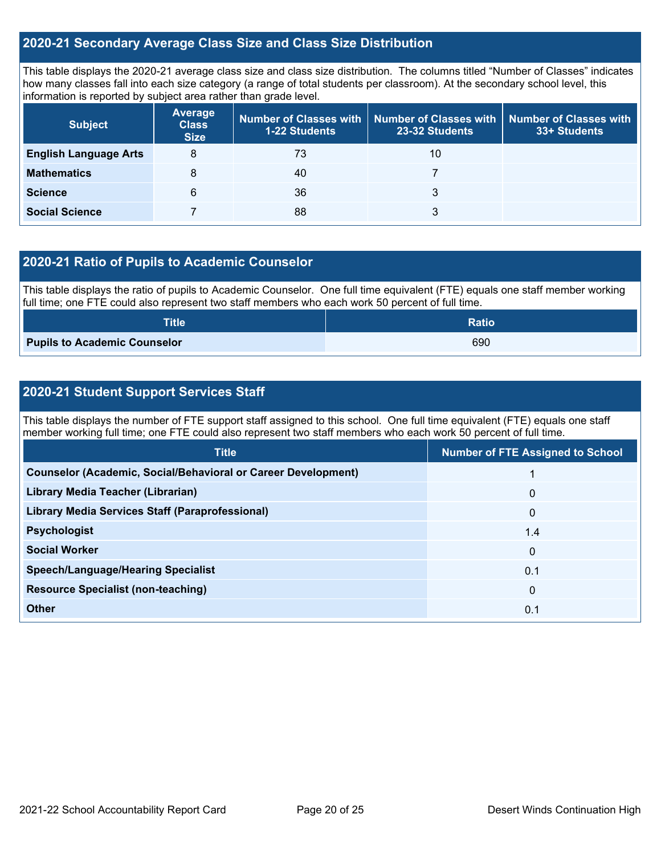## **2020-21 Secondary Average Class Size and Class Size Distribution**

This table displays the 2020-21 average class size and class size distribution. The columns titled "Number of Classes" indicates how many classes fall into each size category (a range of total students per classroom). At the secondary school level, this information is reported by subject area rather than grade level.

| <b>Subject</b>               | <b>Average</b><br><b>Class</b><br><b>Size</b> | <b>1-22 Students</b> | Number of Classes with   Number of Classes with  <br>23-32 Students | <b>Number of Classes with</b><br>33+ Students |
|------------------------------|-----------------------------------------------|----------------------|---------------------------------------------------------------------|-----------------------------------------------|
| <b>English Language Arts</b> | 8                                             | 73                   | 10                                                                  |                                               |
| <b>Mathematics</b>           | 8                                             | 40                   |                                                                     |                                               |
| <b>Science</b>               | 6                                             | 36                   | 3                                                                   |                                               |
| <b>Social Science</b>        |                                               | 88                   | 3                                                                   |                                               |

## **2020-21 Ratio of Pupils to Academic Counselor**

This table displays the ratio of pupils to Academic Counselor. One full time equivalent (FTE) equals one staff member working full time; one FTE could also represent two staff members who each work 50 percent of full time.

| <b>Title</b>                        | <b>Ratio</b> |
|-------------------------------------|--------------|
| <b>Pupils to Academic Counselor</b> | 690          |

## **2020-21 Student Support Services Staff**

This table displays the number of FTE support staff assigned to this school. One full time equivalent (FTE) equals one staff member working full time; one FTE could also represent two staff members who each work 50 percent of full time.

| <b>Title</b>                                                         | <b>Number of FTE Assigned to School</b> |
|----------------------------------------------------------------------|-----------------------------------------|
| <b>Counselor (Academic, Social/Behavioral or Career Development)</b> |                                         |
| Library Media Teacher (Librarian)                                    | $\mathbf 0$                             |
| Library Media Services Staff (Paraprofessional)                      | $\mathbf{0}$                            |
| <b>Psychologist</b>                                                  | 1.4                                     |
| <b>Social Worker</b>                                                 | $\mathbf 0$                             |
| <b>Speech/Language/Hearing Specialist</b>                            | 0.1                                     |
| <b>Resource Specialist (non-teaching)</b>                            | $\mathbf{0}$                            |
| <b>Other</b>                                                         | 0.1                                     |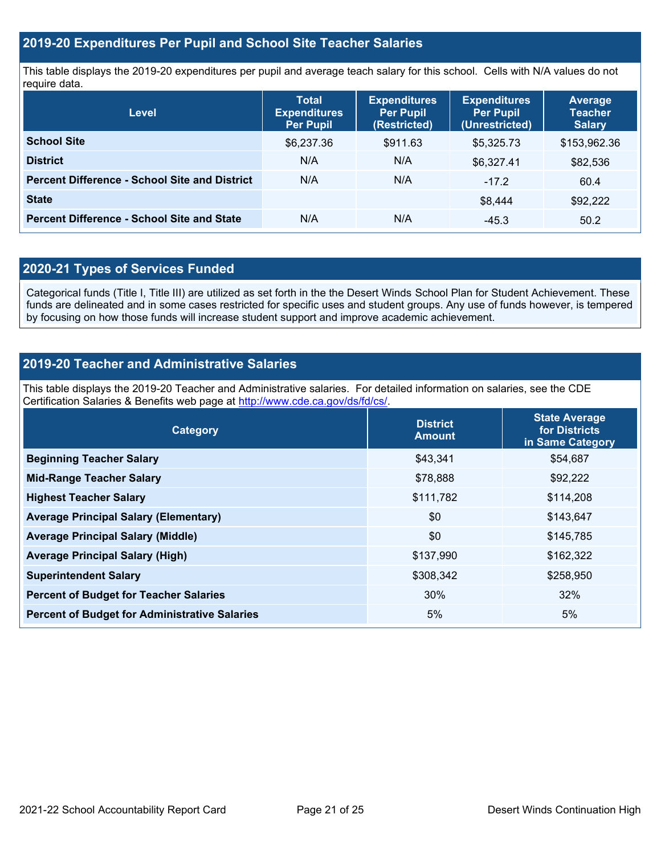## **2019-20 Expenditures Per Pupil and School Site Teacher Salaries**

This table displays the 2019-20 expenditures per pupil and average teach salary for this school. Cells with N/A values do not require data.

| <b>Level</b>                                         | <b>Total</b><br><b>Expenditures</b><br>Per Pupil | <b>Expenditures</b><br><b>Per Pupil</b><br>(Restricted) | <b>Expenditures</b><br><b>Per Pupil</b><br>(Unrestricted) | <b>Average</b><br><b>Teacher</b><br><b>Salary</b> |
|------------------------------------------------------|--------------------------------------------------|---------------------------------------------------------|-----------------------------------------------------------|---------------------------------------------------|
| <b>School Site</b>                                   | \$6,237.36                                       | \$911.63                                                | \$5,325.73                                                | \$153,962.36                                      |
| <b>District</b>                                      | N/A                                              | N/A                                                     | \$6,327.41                                                | \$82,536                                          |
| <b>Percent Difference - School Site and District</b> | N/A                                              | N/A                                                     | $-17.2$                                                   | 60.4                                              |
| <b>State</b>                                         |                                                  |                                                         | \$8.444                                                   | \$92,222                                          |
| <b>Percent Difference - School Site and State</b>    | N/A                                              | N/A                                                     | $-45.3$                                                   | 50.2                                              |

## **2020-21 Types of Services Funded**

Categorical funds (Title I, Title III) are utilized as set forth in the the Desert Winds School Plan for Student Achievement. These funds are delineated and in some cases restricted for specific uses and student groups. Any use of funds however, is tempered by focusing on how those funds will increase student support and improve academic achievement.

## **2019-20 Teacher and Administrative Salaries**

This table displays the 2019-20 Teacher and Administrative salaries. For detailed information on salaries, see the CDE Certification Salaries & Benefits web page at [http://www.cde.ca.gov/ds/fd/cs/.](http://www.cde.ca.gov/ds/fd/cs/)

| Category                                             | <b>District</b><br><b>Amount</b> | <b>State Average</b><br>for Districts<br>in Same Category |
|------------------------------------------------------|----------------------------------|-----------------------------------------------------------|
| <b>Beginning Teacher Salary</b>                      | \$43,341                         | \$54,687                                                  |
| <b>Mid-Range Teacher Salary</b>                      | \$78,888                         | \$92,222                                                  |
| <b>Highest Teacher Salary</b>                        | \$111,782                        | \$114,208                                                 |
| <b>Average Principal Salary (Elementary)</b>         | \$0                              | \$143,647                                                 |
| <b>Average Principal Salary (Middle)</b>             | \$0                              | \$145,785                                                 |
| <b>Average Principal Salary (High)</b>               | \$137,990                        | \$162,322                                                 |
| <b>Superintendent Salary</b>                         | \$308,342                        | \$258,950                                                 |
| <b>Percent of Budget for Teacher Salaries</b>        | 30%                              | 32%                                                       |
| <b>Percent of Budget for Administrative Salaries</b> | 5%                               | 5%                                                        |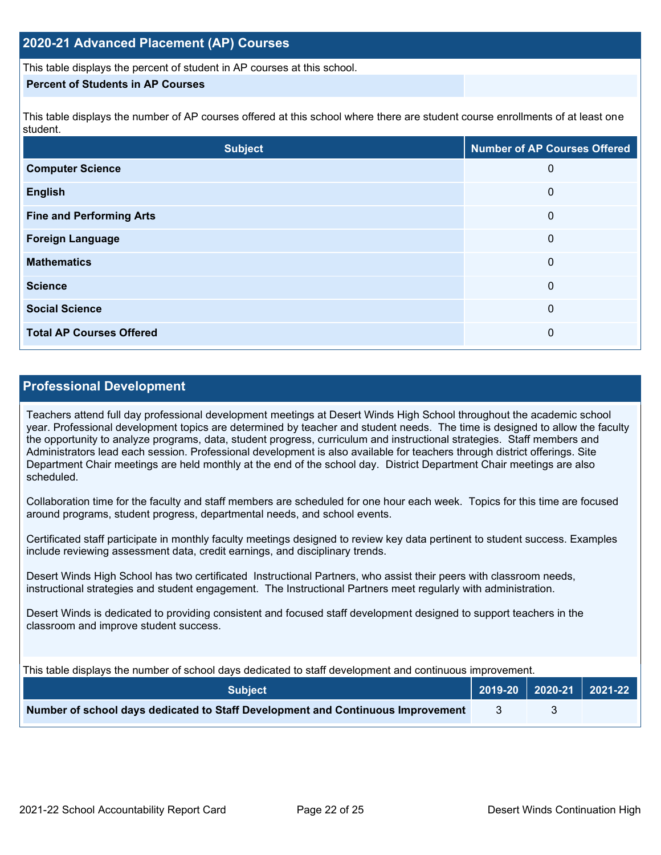This table displays the percent of student in AP courses at this school.

## **Percent of Students in AP Courses**

This table displays the number of AP courses offered at this school where there are student course enrollments of at least one student.

| <b>Subject</b>                  | <b>Number of AP Courses Offered</b> |
|---------------------------------|-------------------------------------|
| <b>Computer Science</b>         | 0                                   |
| <b>English</b>                  | 0                                   |
| <b>Fine and Performing Arts</b> | 0                                   |
| <b>Foreign Language</b>         | 0                                   |
| <b>Mathematics</b>              | 0                                   |
| <b>Science</b>                  | 0                                   |
| <b>Social Science</b>           | 0                                   |
| <b>Total AP Courses Offered</b> | 0                                   |

## **Professional Development**

Teachers attend full day professional development meetings at Desert Winds High School throughout the academic school year. Professional development topics are determined by teacher and student needs. The time is designed to allow the faculty the opportunity to analyze programs, data, student progress, curriculum and instructional strategies. Staff members and Administrators lead each session. Professional development is also available for teachers through district offerings. Site Department Chair meetings are held monthly at the end of the school day. District Department Chair meetings are also scheduled.

Collaboration time for the faculty and staff members are scheduled for one hour each week. Topics for this time are focused around programs, student progress, departmental needs, and school events.

Certificated staff participate in monthly faculty meetings designed to review key data pertinent to student success. Examples include reviewing assessment data, credit earnings, and disciplinary trends.

Desert Winds High School has two certificated Instructional Partners, who assist their peers with classroom needs, instructional strategies and student engagement. The Instructional Partners meet regularly with administration.

Desert Winds is dedicated to providing consistent and focused staff development designed to support teachers in the classroom and improve student success.

This table displays the number of school days dedicated to staff development and continuous improvement.

| <b>Subject</b>                                                                  |  | 2019-20 2020-21 2021-22 |
|---------------------------------------------------------------------------------|--|-------------------------|
| Number of school days dedicated to Staff Development and Continuous Improvement |  |                         |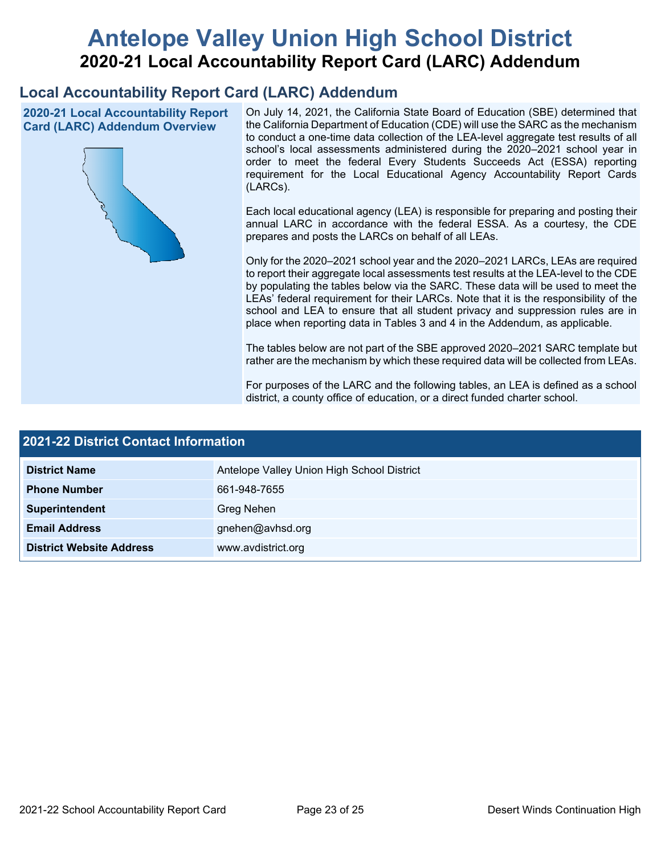# **Antelope Valley Union High School District 2020-21 Local Accountability Report Card (LARC) Addendum**

## **Local Accountability Report Card (LARC) Addendum**

**2020-21 Local Accountability Report Card (LARC) Addendum Overview**



On July 14, 2021, the California State Board of Education (SBE) determined that the California Department of Education (CDE) will use the SARC as the mechanism to conduct a one-time data collection of the LEA-level aggregate test results of all school's local assessments administered during the 2020–2021 school year in order to meet the federal Every Students Succeeds Act (ESSA) reporting requirement for the Local Educational Agency Accountability Report Cards (LARCs).

Each local educational agency (LEA) is responsible for preparing and posting their annual LARC in accordance with the federal ESSA. As a courtesy, the CDE prepares and posts the LARCs on behalf of all LEAs.

Only for the 2020–2021 school year and the 2020–2021 LARCs, LEAs are required to report their aggregate local assessments test results at the LEA-level to the CDE by populating the tables below via the SARC. These data will be used to meet the LEAs' federal requirement for their LARCs. Note that it is the responsibility of the school and LEA to ensure that all student privacy and suppression rules are in place when reporting data in Tables 3 and 4 in the Addendum, as applicable.

The tables below are not part of the SBE approved 2020–2021 SARC template but rather are the mechanism by which these required data will be collected from LEAs.

For purposes of the LARC and the following tables, an LEA is defined as a school district, a county office of education, or a direct funded charter school.

| 2021-22 District Contact Information |                                            |  |  |  |
|--------------------------------------|--------------------------------------------|--|--|--|
| <b>District Name</b>                 | Antelope Valley Union High School District |  |  |  |
| <b>Phone Number</b>                  | 661-948-7655                               |  |  |  |
| Superintendent                       | Greg Nehen                                 |  |  |  |
| <b>Email Address</b>                 | gnehen@avhsd.org                           |  |  |  |
| <b>District Website Address</b>      | www.avdistrict.org                         |  |  |  |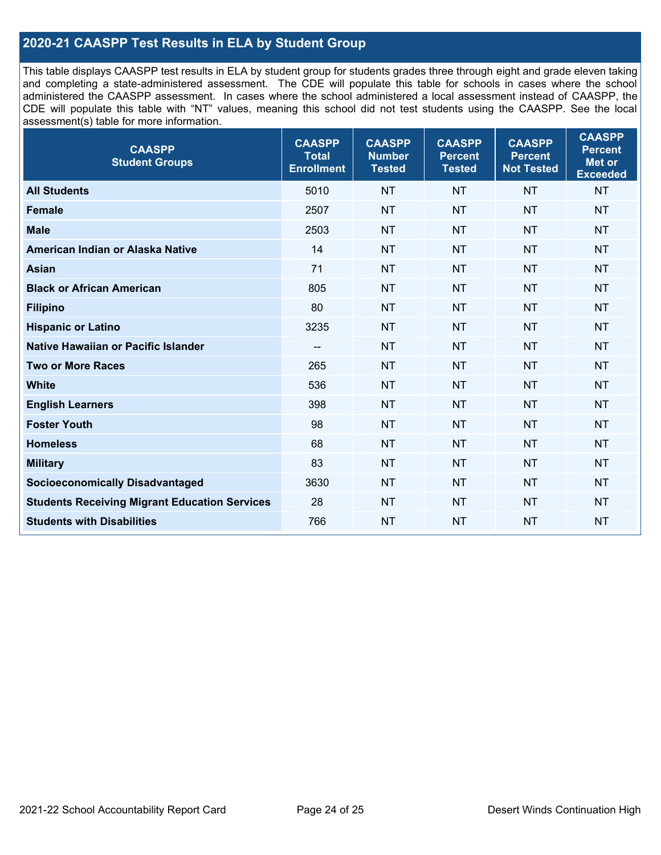## **2020-21 CAASPP Test Results in ELA by Student Group**

This table displays CAASPP test results in ELA by student group for students grades three through eight and grade eleven taking and completing a state-administered assessment. The CDE will populate this table for schools in cases where the school administered the CAASPP assessment. In cases where the school administered a local assessment instead of CAASPP, the CDE will populate this table with "NT" values, meaning this school did not test students using the CAASPP. See the local assessment(s) table for more information.

| <b>CAASPP</b><br><b>Student Groups</b>               | <b>CAASPP</b><br><b>Total</b><br><b>Enrollment</b> | <b>CAASPP</b><br><b>Number</b><br><b>Tested</b> | <b>CAASPP</b><br><b>Percent</b><br><b>Tested</b> | <b>CAASPP</b><br><b>Percent</b><br><b>Not Tested</b> | <b>CAASPP</b><br><b>Percent</b><br>Met or<br><b>Exceeded</b> |
|------------------------------------------------------|----------------------------------------------------|-------------------------------------------------|--------------------------------------------------|------------------------------------------------------|--------------------------------------------------------------|
| <b>All Students</b>                                  | 5010                                               | <b>NT</b>                                       | <b>NT</b>                                        | <b>NT</b>                                            | <b>NT</b>                                                    |
| <b>Female</b>                                        | 2507                                               | <b>NT</b>                                       | <b>NT</b>                                        | <b>NT</b>                                            | <b>NT</b>                                                    |
| <b>Male</b>                                          | 2503                                               | <b>NT</b>                                       | <b>NT</b>                                        | <b>NT</b>                                            | <b>NT</b>                                                    |
| American Indian or Alaska Native                     | 14                                                 | <b>NT</b>                                       | <b>NT</b>                                        | <b>NT</b>                                            | <b>NT</b>                                                    |
| <b>Asian</b>                                         | 71                                                 | <b>NT</b>                                       | <b>NT</b>                                        | <b>NT</b>                                            | <b>NT</b>                                                    |
| <b>Black or African American</b>                     | 805                                                | <b>NT</b>                                       | <b>NT</b>                                        | <b>NT</b>                                            | NT                                                           |
| <b>Filipino</b>                                      | 80                                                 | <b>NT</b>                                       | <b>NT</b>                                        | <b>NT</b>                                            | <b>NT</b>                                                    |
| <b>Hispanic or Latino</b>                            | 3235                                               | <b>NT</b>                                       | <b>NT</b>                                        | <b>NT</b>                                            | <b>NT</b>                                                    |
| <b>Native Hawaiian or Pacific Islander</b>           | --                                                 | <b>NT</b>                                       | <b>NT</b>                                        | <b>NT</b>                                            | <b>NT</b>                                                    |
| <b>Two or More Races</b>                             | 265                                                | <b>NT</b>                                       | <b>NT</b>                                        | <b>NT</b>                                            | <b>NT</b>                                                    |
| <b>White</b>                                         | 536                                                | <b>NT</b>                                       | <b>NT</b>                                        | <b>NT</b>                                            | <b>NT</b>                                                    |
| <b>English Learners</b>                              | 398                                                | <b>NT</b>                                       | <b>NT</b>                                        | <b>NT</b>                                            | <b>NT</b>                                                    |
| <b>Foster Youth</b>                                  | 98                                                 | <b>NT</b>                                       | <b>NT</b>                                        | <b>NT</b>                                            | <b>NT</b>                                                    |
| <b>Homeless</b>                                      | 68                                                 | <b>NT</b>                                       | <b>NT</b>                                        | <b>NT</b>                                            | <b>NT</b>                                                    |
| <b>Military</b>                                      | 83                                                 | <b>NT</b>                                       | <b>NT</b>                                        | <b>NT</b>                                            | <b>NT</b>                                                    |
| <b>Socioeconomically Disadvantaged</b>               | 3630                                               | <b>NT</b>                                       | <b>NT</b>                                        | <b>NT</b>                                            | <b>NT</b>                                                    |
| <b>Students Receiving Migrant Education Services</b> | 28                                                 | <b>NT</b>                                       | <b>NT</b>                                        | <b>NT</b>                                            | NT                                                           |
| <b>Students with Disabilities</b>                    | 766                                                | <b>NT</b>                                       | <b>NT</b>                                        | <b>NT</b>                                            | NT                                                           |